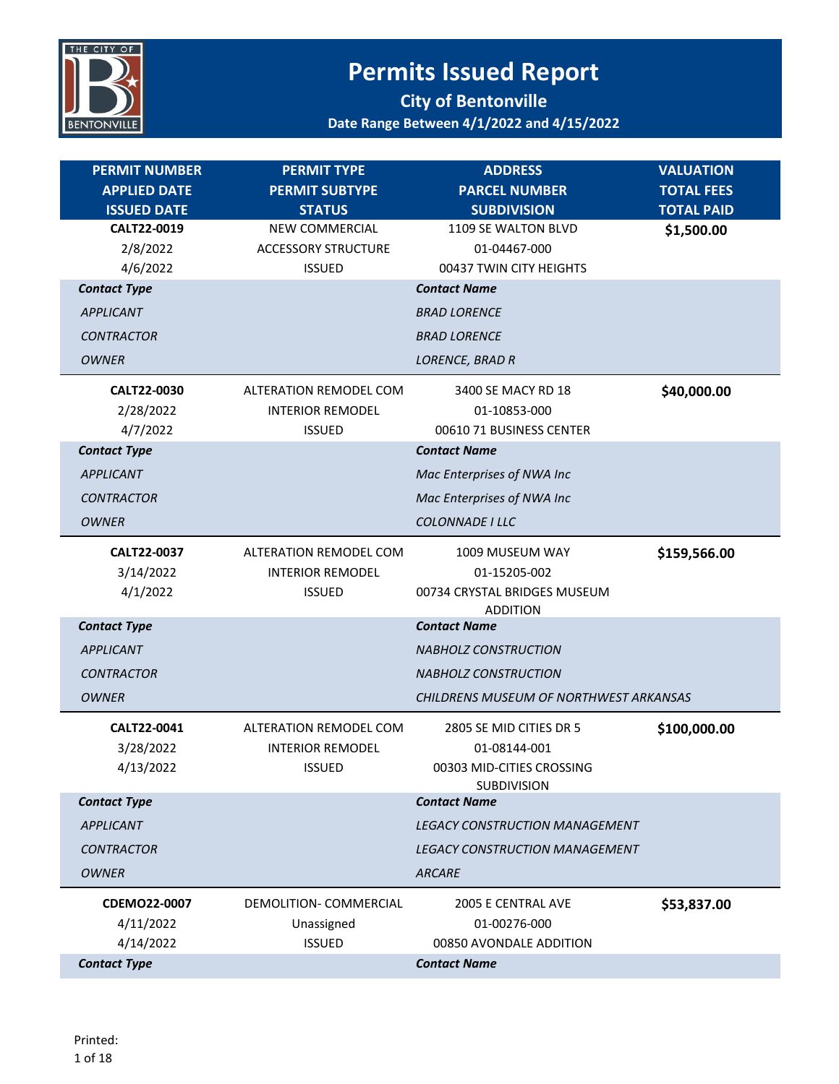

| <b>PERMIT NUMBER</b>                                      | <b>PERMIT TYPE</b>                                                             | <b>ADDRESS</b>                                                                             | <b>VALUATION</b>                |
|-----------------------------------------------------------|--------------------------------------------------------------------------------|--------------------------------------------------------------------------------------------|---------------------------------|
| <b>APPLIED DATE</b>                                       | <b>PERMIT SUBTYPE</b>                                                          | <b>PARCEL NUMBER</b>                                                                       | <b>TOTAL FEES</b>               |
| <b>ISSUED DATE</b><br>CALT22-0019<br>2/8/2022<br>4/6/2022 | <b>STATUS</b><br>NEW COMMERCIAL<br><b>ACCESSORY STRUCTURE</b><br><b>ISSUED</b> | <b>SUBDIVISION</b><br>1109 SE WALTON BLVD<br>01-04467-000<br>00437 TWIN CITY HEIGHTS       | <b>TOTAL PAID</b><br>\$1,500.00 |
| <b>Contact Type</b>                                       |                                                                                | <b>Contact Name</b>                                                                        |                                 |
| <b>APPLICANT</b>                                          |                                                                                | <b>BRAD LORENCE</b>                                                                        |                                 |
| <b>CONTRACTOR</b>                                         |                                                                                | <b>BRAD LORENCE</b>                                                                        |                                 |
| <b>OWNER</b>                                              |                                                                                | LORENCE, BRAD R                                                                            |                                 |
| CALT22-0030<br>2/28/2022<br>4/7/2022                      | ALTERATION REMODEL COM<br><b>INTERIOR REMODEL</b><br><b>ISSUED</b>             | 3400 SE MACY RD 18<br>01-10853-000<br>00610 71 BUSINESS CENTER                             | \$40,000.00                     |
| <b>Contact Type</b>                                       |                                                                                | <b>Contact Name</b>                                                                        |                                 |
| <b>APPLICANT</b>                                          |                                                                                | Mac Enterprises of NWA Inc                                                                 |                                 |
| <b>CONTRACTOR</b>                                         |                                                                                | Mac Enterprises of NWA Inc                                                                 |                                 |
| <b>OWNER</b>                                              |                                                                                | COLONNADE I LLC                                                                            |                                 |
| CALT22-0037<br>3/14/2022<br>4/1/2022                      | <b>ALTERATION REMODEL COM</b><br><b>INTERIOR REMODEL</b><br><b>ISSUED</b>      | 1009 MUSEUM WAY<br>01-15205-002<br>00734 CRYSTAL BRIDGES MUSEUM                            | \$159,566.00                    |
| <b>Contact Type</b>                                       |                                                                                | <b>ADDITION</b><br><b>Contact Name</b>                                                     |                                 |
| <b>APPLICANT</b>                                          |                                                                                | <b>NABHOLZ CONSTRUCTION</b>                                                                |                                 |
| <b>CONTRACTOR</b>                                         |                                                                                | <b>NABHOLZ CONSTRUCTION</b>                                                                |                                 |
| <b>OWNER</b>                                              |                                                                                | CHILDRENS MUSEUM OF NORTHWEST ARKANSAS                                                     |                                 |
| CALT22-0041<br>3/28/2022<br>4/13/2022                     | ALTERATION REMODEL COM<br><b>INTERIOR REMODEL</b><br>ISSUED.                   | 2805 SE MID CITIES DR 5<br>01-08144-001<br>00303 MID-CITIES CROSSING<br><b>SUBDIVISION</b> | \$100,000.00                    |
| <b>Contact Type</b>                                       |                                                                                | <b>Contact Name</b>                                                                        |                                 |
| <b>APPLICANT</b>                                          |                                                                                | <b>LEGACY CONSTRUCTION MANAGEMENT</b>                                                      |                                 |
| <b>CONTRACTOR</b>                                         |                                                                                | <b>LEGACY CONSTRUCTION MANAGEMENT</b>                                                      |                                 |
| <b>OWNER</b>                                              |                                                                                | <b>ARCARE</b>                                                                              |                                 |
| <b>CDEMO22-0007</b><br>4/11/2022<br>4/14/2022             | DEMOLITION- COMMERCIAL<br>Unassigned<br><b>ISSUED</b>                          | 2005 E CENTRAL AVE<br>01-00276-000<br>00850 AVONDALE ADDITION                              | \$53,837.00                     |
| <b>Contact Type</b>                                       |                                                                                | <b>Contact Name</b>                                                                        |                                 |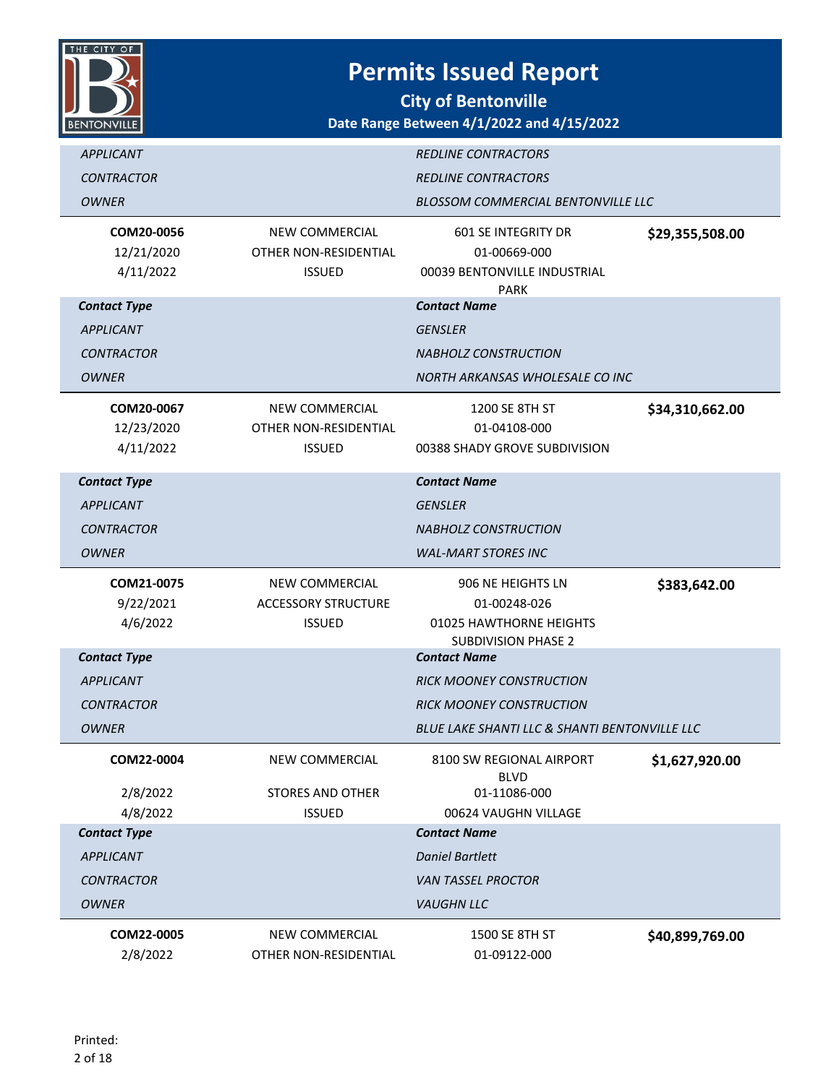

| <b>APPLICANT</b>                |                                         | <b>REDLINE CONTRACTORS</b>                    |                 |
|---------------------------------|-----------------------------------------|-----------------------------------------------|-----------------|
| <b>CONTRACTOR</b>               |                                         | <b>REDLINE CONTRACTORS</b>                    |                 |
| <b>OWNER</b>                    |                                         | <b>BLOSSOM COMMERCIAL BENTONVILLE LLC</b>     |                 |
|                                 |                                         |                                               |                 |
| COM20-0056                      | <b>NEW COMMERCIAL</b>                   | 601 SE INTEGRITY DR                           | \$29,355,508.00 |
| 12/21/2020                      | OTHER NON-RESIDENTIAL                   | 01-00669-000                                  |                 |
| 4/11/2022                       | <b>ISSUED</b>                           | 00039 BENTONVILLE INDUSTRIAL<br><b>PARK</b>   |                 |
| <b>Contact Type</b>             |                                         | <b>Contact Name</b>                           |                 |
| <b>APPLICANT</b>                |                                         | <b>GENSLER</b>                                |                 |
| <b>CONTRACTOR</b>               |                                         | <b>NABHOLZ CONSTRUCTION</b>                   |                 |
| <b>OWNER</b>                    |                                         | NORTH ARKANSAS WHOLESALE CO INC               |                 |
|                                 |                                         |                                               |                 |
| COM20-0067<br>12/23/2020        | NEW COMMERCIAL<br>OTHER NON-RESIDENTIAL | 1200 SE 8TH ST<br>01-04108-000                | \$34,310,662.00 |
| 4/11/2022                       | <b>ISSUED</b>                           | 00388 SHADY GROVE SUBDIVISION                 |                 |
|                                 |                                         |                                               |                 |
| <b>Contact Type</b>             |                                         | <b>Contact Name</b>                           |                 |
| <b>APPLICANT</b>                |                                         | <b>GENSLER</b>                                |                 |
| <b>CONTRACTOR</b>               |                                         | <b>NABHOLZ CONSTRUCTION</b>                   |                 |
| <b>OWNER</b>                    |                                         | <b>WAL-MART STORES INC</b>                    |                 |
|                                 |                                         |                                               |                 |
| COM21-0075                      | NEW COMMERCIAL                          | 906 NE HEIGHTS LN                             |                 |
| 9/22/2021                       | <b>ACCESSORY STRUCTURE</b>              | 01-00248-026                                  | \$383,642.00    |
| 4/6/2022                        | <b>ISSUED</b>                           | 01025 HAWTHORNE HEIGHTS                       |                 |
|                                 |                                         | <b>SUBDIVISION PHASE 2</b>                    |                 |
| <b>Contact Type</b>             |                                         | <b>Contact Name</b>                           |                 |
| <b>APPLICANT</b>                |                                         | <b>RICK MOONEY CONSTRUCTION</b>               |                 |
| <b>CONTRACTOR</b>               |                                         | <b>RICK MOONEY CONSTRUCTION</b>               |                 |
| <b>OWNER</b>                    |                                         | BLUE LAKE SHANTI LLC & SHANTI BENTONVILLE LLC |                 |
| COM22-0004                      | NEW COMMERCIAL                          | 8100 SW REGIONAL AIRPORT                      | \$1,627,920.00  |
|                                 |                                         | <b>BLVD</b>                                   |                 |
| 2/8/2022                        | <b>STORES AND OTHER</b>                 | 01-11086-000                                  |                 |
| 4/8/2022<br><b>Contact Type</b> | <b>ISSUED</b>                           | 00624 VAUGHN VILLAGE<br><b>Contact Name</b>   |                 |
| <b>APPLICANT</b>                |                                         | <b>Daniel Bartlett</b>                        |                 |
| <b>CONTRACTOR</b>               |                                         | <b>VAN TASSEL PROCTOR</b>                     |                 |
| <b>OWNER</b>                    |                                         | <b>VAUGHN LLC</b>                             |                 |
|                                 |                                         |                                               |                 |
| COM22-0005<br>2/8/2022          | NEW COMMERCIAL<br>OTHER NON-RESIDENTIAL | 1500 SE 8TH ST<br>01-09122-000                | \$40,899,769.00 |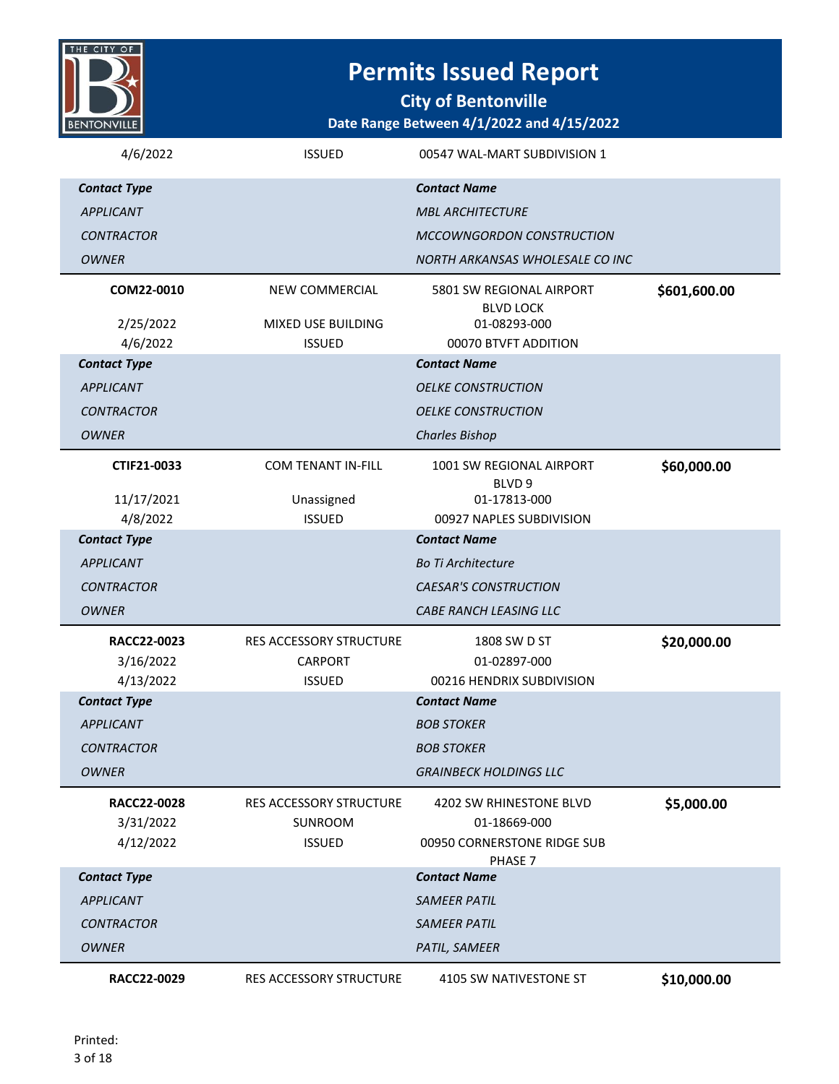

**City of Bentonville**

| 4/6/2022            | <b>ISSUED</b>                  | 00547 WAL-MART SUBDIVISION 1                  |              |
|---------------------|--------------------------------|-----------------------------------------------|--------------|
| <b>Contact Type</b> |                                | <b>Contact Name</b>                           |              |
| <b>APPLICANT</b>    |                                | <b>MBL ARCHITECTURE</b>                       |              |
| <b>CONTRACTOR</b>   |                                | <b>MCCOWNGORDON CONSTRUCTION</b>              |              |
| <b>OWNER</b>        |                                | NORTH ARKANSAS WHOLESALE CO INC               |              |
| COM22-0010          | <b>NEW COMMERCIAL</b>          | 5801 SW REGIONAL AIRPORT                      | \$601,600.00 |
| 2/25/2022           | MIXED USE BUILDING             | <b>BLVD LOCK</b><br>01-08293-000              |              |
| 4/6/2022            | <b>ISSUED</b>                  | 00070 BTVFT ADDITION                          |              |
| <b>Contact Type</b> |                                | <b>Contact Name</b>                           |              |
| <b>APPLICANT</b>    |                                | <b>OELKE CONSTRUCTION</b>                     |              |
| <b>CONTRACTOR</b>   |                                | <b>OELKE CONSTRUCTION</b>                     |              |
| <b>OWNER</b>        |                                | <b>Charles Bishop</b>                         |              |
| CTIF21-0033         | <b>COM TENANT IN-FILL</b>      | 1001 SW REGIONAL AIRPORT<br>BLVD <sub>9</sub> | \$60,000.00  |
| 11/17/2021          | Unassigned                     | 01-17813-000                                  |              |
| 4/8/2022            | <b>ISSUED</b>                  | 00927 NAPLES SUBDIVISION                      |              |
| <b>Contact Type</b> |                                | <b>Contact Name</b>                           |              |
| <b>APPLICANT</b>    |                                | <b>Bo Ti Architecture</b>                     |              |
| <b>CONTRACTOR</b>   |                                | <b>CAESAR'S CONSTRUCTION</b>                  |              |
| <b>OWNER</b>        |                                | CABE RANCH LEASING LLC                        |              |
| RACC22-0023         | RES ACCESSORY STRUCTURE        | 1808 SW D ST                                  | \$20,000.00  |
| 3/16/2022           | CARPORT                        | 01-02897-000                                  |              |
| 4/13/2022           | <b>ISSUED</b>                  | 00216 HENDRIX SUBDIVISION                     |              |
| <b>Contact Type</b> |                                | <b>Contact Name</b>                           |              |
| <b>APPLICANT</b>    |                                | <b>BOB STOKER</b>                             |              |
| <b>CONTRACTOR</b>   |                                | <b>BOB STOKER</b>                             |              |
| <b>OWNER</b>        |                                | <b>GRAINBECK HOLDINGS LLC</b>                 |              |
| RACC22-0028         | <b>RES ACCESSORY STRUCTURE</b> | 4202 SW RHINESTONE BLVD                       | \$5,000.00   |
| 3/31/2022           | <b>SUNROOM</b>                 | 01-18669-000                                  |              |
| 4/12/2022           | <b>ISSUED</b>                  | 00950 CORNERSTONE RIDGE SUB                   |              |
| <b>Contact Type</b> |                                | PHASE 7<br><b>Contact Name</b>                |              |
| <b>APPLICANT</b>    |                                | <b>SAMEER PATIL</b>                           |              |
| <b>CONTRACTOR</b>   |                                | <b>SAMEER PATIL</b>                           |              |
| <b>OWNER</b>        |                                | PATIL, SAMEER                                 |              |
| RACC22-0029         | RES ACCESSORY STRUCTURE        | 4105 SW NATIVESTONE ST                        | \$10,000.00  |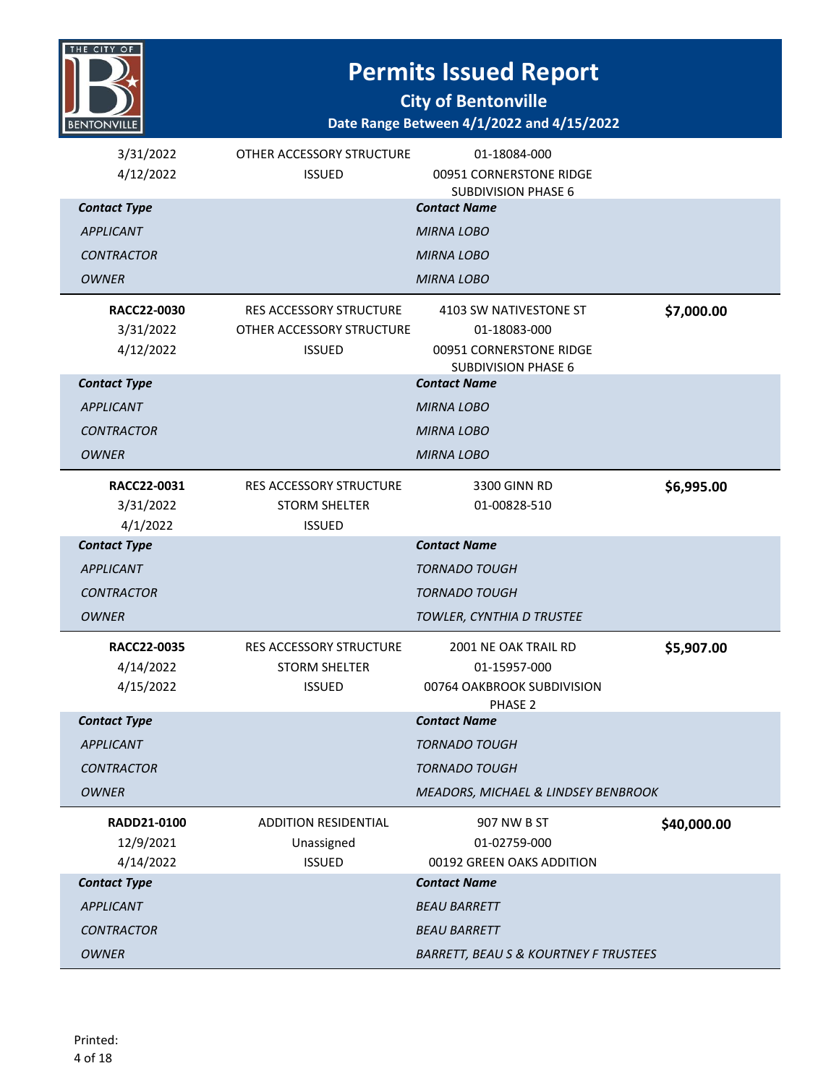

**City of Bentonville**

| 3/31/2022<br>4/12/2022 | OTHER ACCESSORY STRUCTURE<br><b>ISSUED</b> | 01-18084-000<br>00951 CORNERSTONE RIDGE           |             |
|------------------------|--------------------------------------------|---------------------------------------------------|-------------|
|                        |                                            | <b>SUBDIVISION PHASE 6</b>                        |             |
| <b>Contact Type</b>    |                                            | <b>Contact Name</b>                               |             |
| <b>APPLICANT</b>       |                                            | <b>MIRNA LOBO</b>                                 |             |
| <b>CONTRACTOR</b>      |                                            | <b>MIRNA LOBO</b>                                 |             |
| <b>OWNER</b>           |                                            | MIRNA LOBO                                        |             |
| RACC22-0030            | <b>RES ACCESSORY STRUCTURE</b>             | 4103 SW NATIVESTONE ST                            | \$7,000.00  |
| 3/31/2022              | OTHER ACCESSORY STRUCTURE                  | 01-18083-000                                      |             |
| 4/12/2022              | <b>ISSUED</b>                              | 00951 CORNERSTONE RIDGE                           |             |
| <b>Contact Type</b>    |                                            | <b>SUBDIVISION PHASE 6</b><br><b>Contact Name</b> |             |
| <b>APPLICANT</b>       |                                            | <b>MIRNA LOBO</b>                                 |             |
| <b>CONTRACTOR</b>      |                                            | <b>MIRNA LOBO</b>                                 |             |
| <b>OWNER</b>           |                                            | <b>MIRNA LOBO</b>                                 |             |
|                        |                                            |                                                   |             |
| RACC22-0031            | <b>RES ACCESSORY STRUCTURE</b>             | 3300 GINN RD                                      | \$6,995.00  |
| 3/31/2022<br>4/1/2022  | <b>STORM SHELTER</b><br><b>ISSUED</b>      | 01-00828-510                                      |             |
| <b>Contact Type</b>    |                                            | <b>Contact Name</b>                               |             |
| <b>APPLICANT</b>       |                                            | <b>TORNADO TOUGH</b>                              |             |
| <b>CONTRACTOR</b>      |                                            | <b>TORNADO TOUGH</b>                              |             |
| <b>OWNER</b>           |                                            | TOWLER, CYNTHIA D TRUSTEE                         |             |
|                        |                                            |                                                   |             |
| RACC22-0035            | RES ACCESSORY STRUCTURE                    | 2001 NE OAK TRAIL RD                              | \$5,907.00  |
| 4/14/2022<br>4/15/2022 | <b>STORM SHELTER</b><br><b>ISSUED</b>      | 01-15957-000<br>00764 OAKBROOK SUBDIVISION        |             |
|                        |                                            | PHASE 2                                           |             |
| <b>Contact Type</b>    |                                            | <b>Contact Name</b>                               |             |
| <b>APPLICANT</b>       |                                            | <b>TORNADO TOUGH</b>                              |             |
| <b>CONTRACTOR</b>      |                                            | <b>TORNADO TOUGH</b>                              |             |
| <b>OWNER</b>           |                                            | MEADORS, MICHAEL & LINDSEY BENBROOK               |             |
| RADD21-0100            | <b>ADDITION RESIDENTIAL</b>                | 907 NW B ST                                       | \$40,000.00 |
| 12/9/2021              | Unassigned                                 | 01-02759-000                                      |             |
| 4/14/2022              | <b>ISSUED</b>                              | 00192 GREEN OAKS ADDITION                         |             |
| <b>Contact Type</b>    |                                            |                                                   |             |
|                        |                                            | <b>Contact Name</b>                               |             |
| <b>APPLICANT</b>       |                                            | <b>BEAU BARRETT</b>                               |             |
| <b>CONTRACTOR</b>      |                                            | <b>BEAU BARRETT</b>                               |             |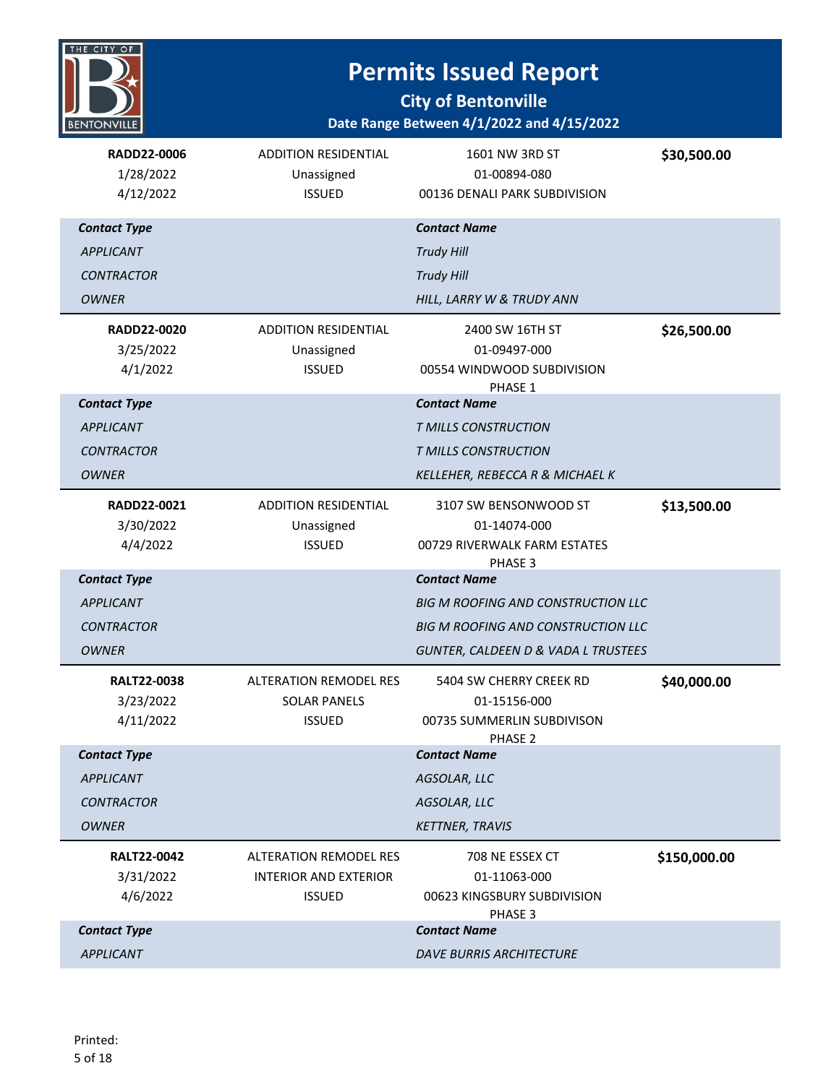

| RADD22-0006<br>1/28/2022<br>4/12/2022 | <b>ADDITION RESIDENTIAL</b><br>Unassigned<br><b>ISSUED</b> | 1601 NW 3RD ST<br>01-00894-080<br>00136 DENALI PARK SUBDIVISION | \$30,500.00  |
|---------------------------------------|------------------------------------------------------------|-----------------------------------------------------------------|--------------|
| <b>Contact Type</b>                   |                                                            | <b>Contact Name</b>                                             |              |
| <b>APPLICANT</b>                      |                                                            | <b>Trudy Hill</b>                                               |              |
| <b>CONTRACTOR</b>                     |                                                            | <b>Trudy Hill</b>                                               |              |
| <b>OWNER</b>                          |                                                            | HILL, LARRY W & TRUDY ANN                                       |              |
| RADD22-0020                           | <b>ADDITION RESIDENTIAL</b>                                | 2400 SW 16TH ST                                                 | \$26,500.00  |
| 3/25/2022                             | Unassigned                                                 | 01-09497-000                                                    |              |
| 4/1/2022                              | <b>ISSUED</b>                                              | 00554 WINDWOOD SUBDIVISION<br>PHASE 1                           |              |
| <b>Contact Type</b>                   |                                                            | <b>Contact Name</b>                                             |              |
| <b>APPLICANT</b>                      |                                                            | T MILLS CONSTRUCTION                                            |              |
| <b>CONTRACTOR</b>                     |                                                            | T MILLS CONSTRUCTION                                            |              |
| <b>OWNER</b>                          |                                                            | KELLEHER, REBECCA R & MICHAEL K                                 |              |
| RADD22-0021                           | <b>ADDITION RESIDENTIAL</b>                                | 3107 SW BENSONWOOD ST                                           | \$13,500.00  |
| 3/30/2022                             | Unassigned                                                 | 01-14074-000                                                    |              |
| 4/4/2022                              | <b>ISSUED</b>                                              | 00729 RIVERWALK FARM ESTATES                                    |              |
| <b>Contact Type</b>                   |                                                            | PHASE 3<br><b>Contact Name</b>                                  |              |
| <b>APPLICANT</b>                      |                                                            | <b>BIG M ROOFING AND CONSTRUCTION LLC</b>                       |              |
| <b>CONTRACTOR</b>                     |                                                            | <b>BIG M ROOFING AND CONSTRUCTION LLC</b>                       |              |
| <b>OWNER</b>                          |                                                            | GUNTER, CALDEEN D & VADA L TRUSTEES                             |              |
| <b>RALT22-0038</b>                    | <b>ALTERATION REMODEL RES</b>                              | 5404 SW CHERRY CREEK RD                                         | \$40,000.00  |
| 3/23/2022                             | <b>SOLAR PANELS</b>                                        | 01-15156-000                                                    |              |
| 4/11/2022                             | <b>ISSUED</b>                                              | 00735 SUMMERLIN SUBDIVISON<br>PHASE 2                           |              |
| <b>Contact Type</b>                   |                                                            | <b>Contact Name</b>                                             |              |
| <b>APPLICANT</b>                      |                                                            | AGSOLAR, LLC                                                    |              |
| <b>CONTRACTOR</b>                     |                                                            | AGSOLAR, LLC                                                    |              |
| <b>OWNER</b>                          |                                                            | <b>KETTNER, TRAVIS</b>                                          |              |
| <b>RALT22-0042</b>                    | <b>ALTERATION REMODEL RES</b>                              | 708 NE ESSEX CT                                                 | \$150,000.00 |
| 3/31/2022                             | <b>INTERIOR AND EXTERIOR</b>                               | 01-11063-000                                                    |              |
| 4/6/2022                              | <b>ISSUED</b>                                              | 00623 KINGSBURY SUBDIVISION<br>PHASE 3                          |              |
| <b>Contact Type</b>                   |                                                            | <b>Contact Name</b>                                             |              |
| APPLICANT                             |                                                            | DAVE BURRIS ARCHITECTURE                                        |              |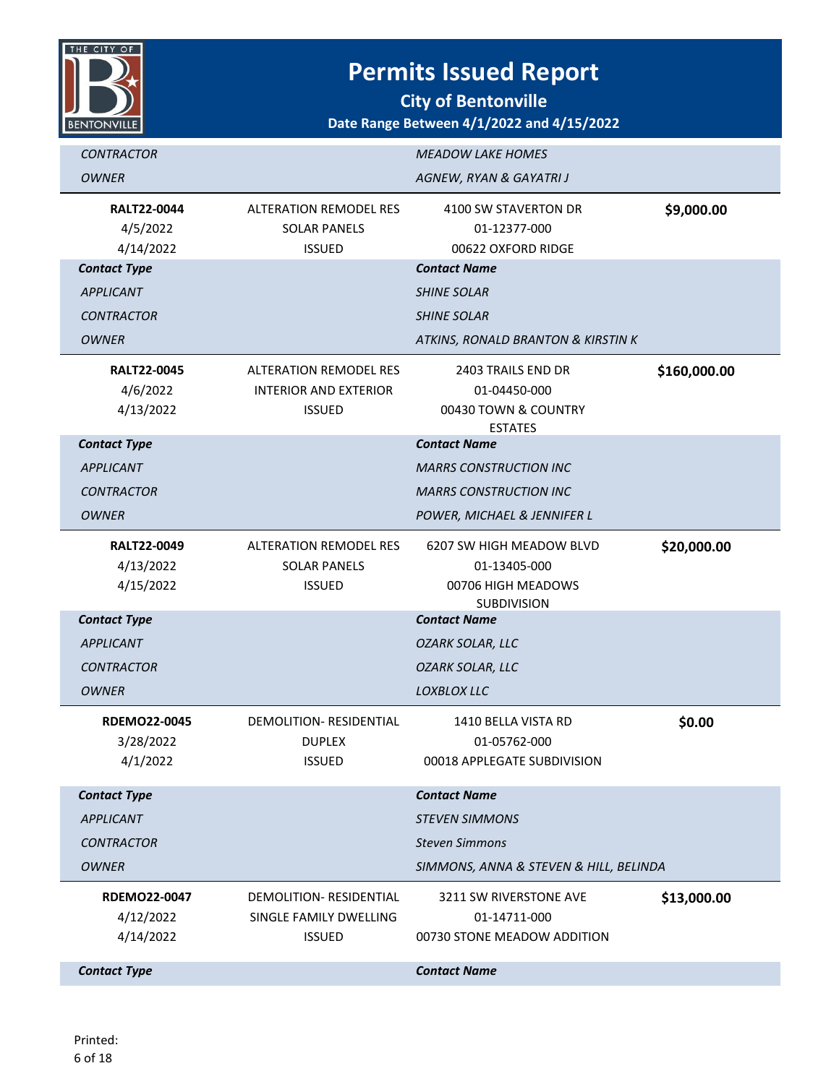

| <b>CONTRACTOR</b>                             |                                                                                | <b>MEADOW LAKE HOMES</b>                                                             |              |
|-----------------------------------------------|--------------------------------------------------------------------------------|--------------------------------------------------------------------------------------|--------------|
| <b>OWNER</b>                                  |                                                                                | AGNEW, RYAN & GAYATRI J                                                              |              |
| <b>RALT22-0044</b><br>4/5/2022<br>4/14/2022   | <b>ALTERATION REMODEL RES</b><br><b>SOLAR PANELS</b><br><b>ISSUED</b>          | 4100 SW STAVERTON DR<br>01-12377-000<br>00622 OXFORD RIDGE                           | \$9,000.00   |
| <b>Contact Type</b>                           |                                                                                | <b>Contact Name</b>                                                                  |              |
| <b>APPLICANT</b>                              |                                                                                | <b>SHINE SOLAR</b>                                                                   |              |
| <b>CONTRACTOR</b>                             |                                                                                | <b>SHINE SOLAR</b>                                                                   |              |
| <b>OWNER</b>                                  |                                                                                | ATKINS, RONALD BRANTON & KIRSTIN K                                                   |              |
| <b>RALT22-0045</b><br>4/6/2022<br>4/13/2022   | <b>ALTERATION REMODEL RES</b><br><b>INTERIOR AND EXTERIOR</b><br><b>ISSUED</b> | 2403 TRAILS END DR<br>01-04450-000<br>00430 TOWN & COUNTRY<br><b>ESTATES</b>         | \$160,000.00 |
| <b>Contact Type</b>                           |                                                                                | <b>Contact Name</b>                                                                  |              |
| <b>APPLICANT</b>                              |                                                                                | <b>MARRS CONSTRUCTION INC</b>                                                        |              |
| <b>CONTRACTOR</b>                             |                                                                                | <b>MARRS CONSTRUCTION INC</b>                                                        |              |
| <b>OWNER</b>                                  |                                                                                | POWER, MICHAEL & JENNIFER L                                                          |              |
| <b>RALT22-0049</b><br>4/13/2022<br>4/15/2022  | <b>ALTERATION REMODEL RES</b><br><b>SOLAR PANELS</b><br><b>ISSUED</b>          | 6207 SW HIGH MEADOW BLVD<br>01-13405-000<br>00706 HIGH MEADOWS<br><b>SUBDIVISION</b> | \$20,000.00  |
| <b>Contact Type</b>                           |                                                                                | <b>Contact Name</b>                                                                  |              |
| <b>APPLICANT</b>                              |                                                                                | <b>OZARK SOLAR, LLC</b>                                                              |              |
| <b>CONTRACTOR</b>                             |                                                                                | <b>OZARK SOLAR, LLC</b>                                                              |              |
| <b>OWNER</b>                                  |                                                                                | LOXBLOX LLC                                                                          |              |
| <b>RDEMO22-0045</b><br>3/28/2022<br>4/1/2022  | DEMOLITION-RESIDENTIAL<br><b>DUPLEX</b><br><b>ISSUED</b>                       | 1410 BELLA VISTA RD<br>01-05762-000<br>00018 APPLEGATE SUBDIVISION                   | \$0.00       |
| <b>Contact Type</b>                           |                                                                                | <b>Contact Name</b>                                                                  |              |
| <b>APPLICANT</b>                              |                                                                                | <b>STEVEN SIMMONS</b>                                                                |              |
| <b>CONTRACTOR</b>                             |                                                                                | <b>Steven Simmons</b>                                                                |              |
| <b>OWNER</b>                                  |                                                                                | SIMMONS, ANNA & STEVEN & HILL, BELINDA                                               |              |
| <b>RDEMO22-0047</b><br>4/12/2022<br>4/14/2022 | DEMOLITION- RESIDENTIAL<br>SINGLE FAMILY DWELLING<br><b>ISSUED</b>             | 3211 SW RIVERSTONE AVE<br>01-14711-000<br>00730 STONE MEADOW ADDITION                | \$13,000.00  |
| <b>Contact Type</b>                           |                                                                                | <b>Contact Name</b>                                                                  |              |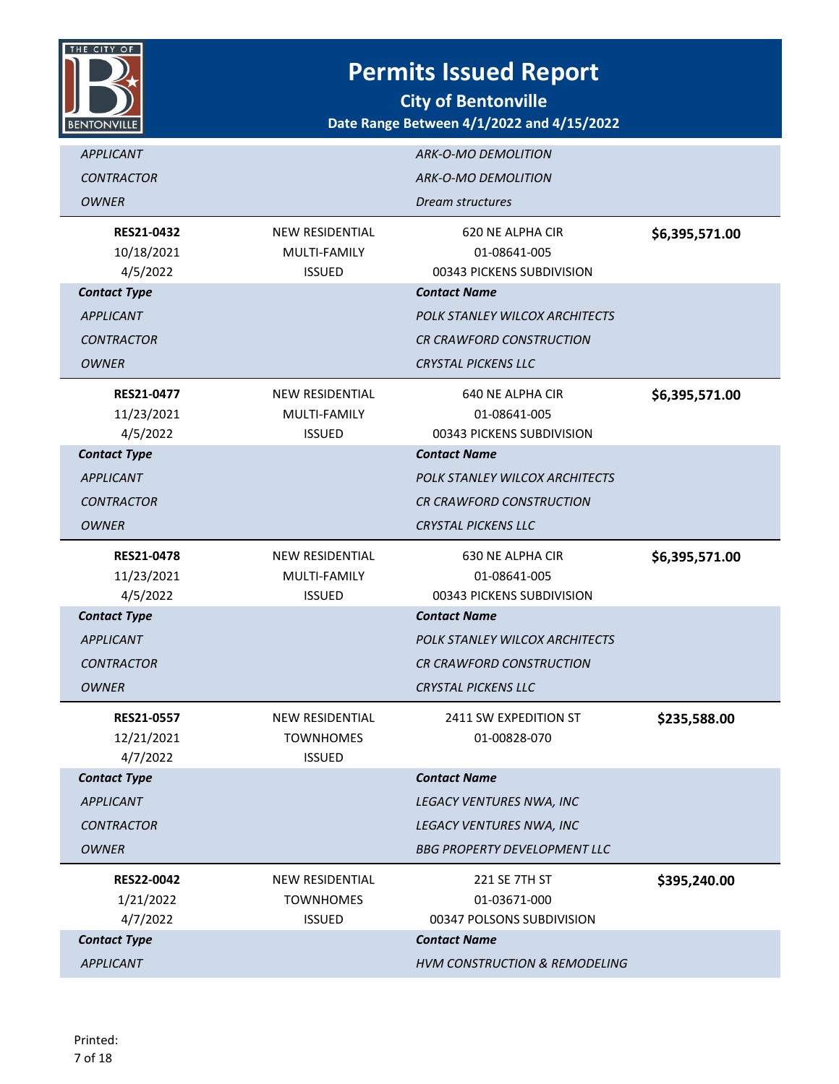

| <b>APPLICANT</b>                            |                                                             | ARK-O-MO DEMOLITION                                                  |                |
|---------------------------------------------|-------------------------------------------------------------|----------------------------------------------------------------------|----------------|
| <b>CONTRACTOR</b>                           |                                                             | <b>ARK-O-MO DEMOLITION</b>                                           |                |
| <b>OWNER</b>                                |                                                             | Dream structures                                                     |                |
| <b>RES21-0432</b><br>10/18/2021<br>4/5/2022 | <b>NEW RESIDENTIAL</b><br>MULTI-FAMILY<br><b>ISSUED</b>     | 620 NE ALPHA CIR<br>01-08641-005<br>00343 PICKENS SUBDIVISION        | \$6,395,571.00 |
| <b>Contact Type</b>                         |                                                             | <b>Contact Name</b>                                                  |                |
| <b>APPLICANT</b>                            |                                                             | POLK STANLEY WILCOX ARCHITECTS                                       |                |
| <b>CONTRACTOR</b>                           |                                                             | <b>CR CRAWFORD CONSTRUCTION</b>                                      |                |
| <b>OWNER</b>                                |                                                             | <b>CRYSTAL PICKENS LLC</b>                                           |                |
| <b>RES21-0477</b><br>11/23/2021<br>4/5/2022 | <b>NEW RESIDENTIAL</b><br>MULTI-FAMILY<br><b>ISSUED</b>     | 640 NE ALPHA CIR<br>01-08641-005<br>00343 PICKENS SUBDIVISION        | \$6,395,571.00 |
| <b>Contact Type</b>                         |                                                             | <b>Contact Name</b>                                                  |                |
| <b>APPLICANT</b>                            |                                                             | POLK STANLEY WILCOX ARCHITECTS                                       |                |
| <b>CONTRACTOR</b>                           |                                                             | <b>CR CRAWFORD CONSTRUCTION</b>                                      |                |
| OWNER                                       |                                                             | <b>CRYSTAL PICKENS LLC</b>                                           |                |
| <b>RES21-0478</b><br>11/23/2021<br>4/5/2022 | <b>NEW RESIDENTIAL</b><br>MULTI-FAMILY<br><b>ISSUED</b>     | <b>630 NE ALPHA CIR</b><br>01-08641-005<br>00343 PICKENS SUBDIVISION | \$6,395,571.00 |
| <b>Contact Type</b>                         |                                                             | <b>Contact Name</b>                                                  |                |
| <b>APPLICANT</b>                            |                                                             | POLK STANLEY WILCOX ARCHITECTS                                       |                |
| <b>CONTRACTOR</b>                           |                                                             | <b>CR CRAWFORD CONSTRUCTION</b>                                      |                |
| <b>OWNER</b>                                |                                                             | <b>CRYSTAL PICKENS LLC</b>                                           |                |
| <b>RES21-0557</b><br>12/21/2021<br>4/7/2022 | <b>NEW RESIDENTIAL</b><br><b>TOWNHOMES</b><br><b>ISSUED</b> | 2411 SW EXPEDITION ST<br>01-00828-070                                | \$235,588.00   |
| <b>Contact Type</b>                         |                                                             | <b>Contact Name</b>                                                  |                |
| <b>APPLICANT</b>                            |                                                             | LEGACY VENTURES NWA, INC                                             |                |
| <b>CONTRACTOR</b>                           |                                                             | LEGACY VENTURES NWA, INC                                             |                |
| <b>OWNER</b>                                |                                                             | <b>BBG PROPERTY DEVELOPMENT LLC</b>                                  |                |
| <b>RES22-0042</b><br>1/21/2022<br>4/7/2022  | <b>NEW RESIDENTIAL</b><br><b>TOWNHOMES</b><br><b>ISSUED</b> | <b>221 SE 7TH ST</b><br>01-03671-000<br>00347 POLSONS SUBDIVISION    | \$395,240.00   |
| <b>Contact Type</b>                         |                                                             | <b>Contact Name</b>                                                  |                |
| <b>APPLICANT</b>                            |                                                             | HVM CONSTRUCTION & REMODELING                                        |                |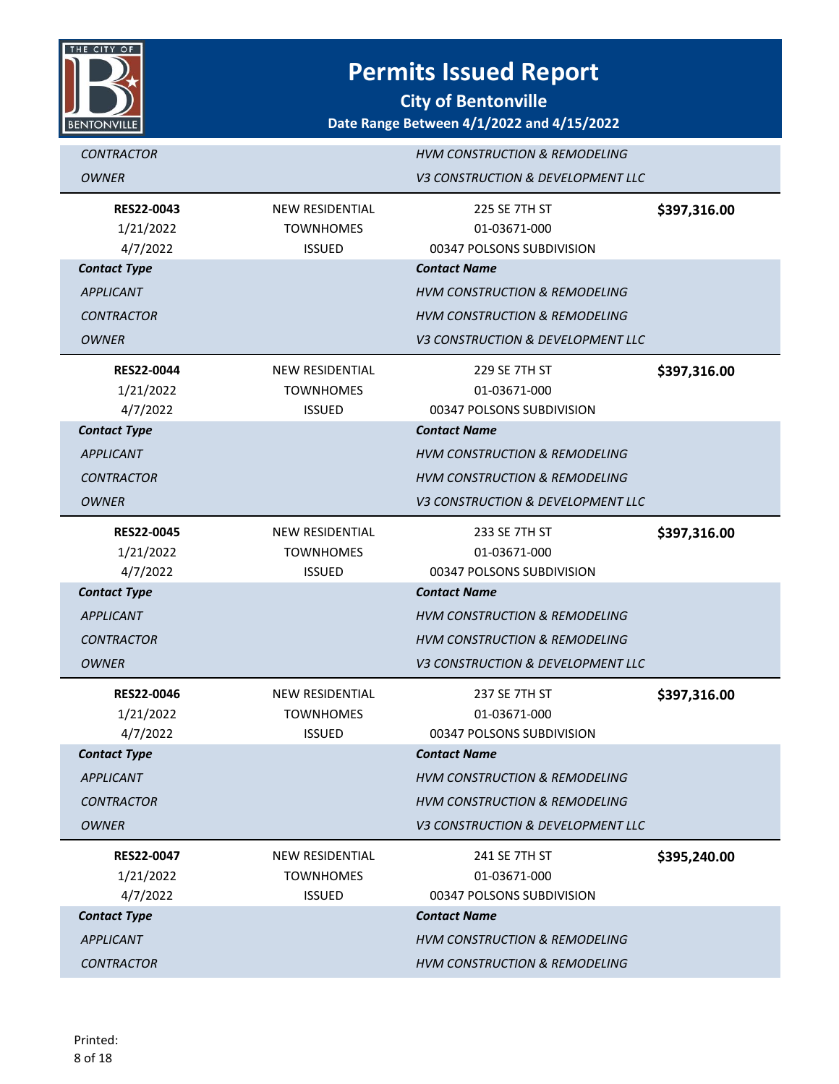

| <b>CONTRACTOR</b>   |                        | <b>HVM CONSTRUCTION &amp; REMODELING</b> |              |
|---------------------|------------------------|------------------------------------------|--------------|
| <b>OWNER</b>        |                        | V3 CONSTRUCTION & DEVELOPMENT LLC        |              |
| RES22-0043          | <b>NEW RESIDENTIAL</b> | 225 SE 7TH ST                            | \$397,316.00 |
| 1/21/2022           | <b>TOWNHOMES</b>       | 01-03671-000                             |              |
| 4/7/2022            | <b>ISSUED</b>          | 00347 POLSONS SUBDIVISION                |              |
| <b>Contact Type</b> |                        | <b>Contact Name</b>                      |              |
| <b>APPLICANT</b>    |                        | <b>HVM CONSTRUCTION &amp; REMODELING</b> |              |
| <b>CONTRACTOR</b>   |                        | <b>HVM CONSTRUCTION &amp; REMODELING</b> |              |
| <b>OWNER</b>        |                        | V3 CONSTRUCTION & DEVELOPMENT LLC        |              |
| <b>RES22-0044</b>   | <b>NEW RESIDENTIAL</b> | 229 SE 7TH ST                            | \$397,316.00 |
| 1/21/2022           | <b>TOWNHOMES</b>       | 01-03671-000                             |              |
| 4/7/2022            | <b>ISSUED</b>          | 00347 POLSONS SUBDIVISION                |              |
| <b>Contact Type</b> |                        | <b>Contact Name</b>                      |              |
| <b>APPLICANT</b>    |                        | <b>HVM CONSTRUCTION &amp; REMODELING</b> |              |
| <b>CONTRACTOR</b>   |                        | <b>HVM CONSTRUCTION &amp; REMODELING</b> |              |
| <b>OWNER</b>        |                        | V3 CONSTRUCTION & DEVELOPMENT LLC        |              |
| <b>RES22-0045</b>   | <b>NEW RESIDENTIAL</b> | 233 SE 7TH ST                            | \$397,316.00 |
| 1/21/2022           | <b>TOWNHOMES</b>       | 01-03671-000                             |              |
| 4/7/2022            | <b>ISSUED</b>          | 00347 POLSONS SUBDIVISION                |              |
| <b>Contact Type</b> |                        | <b>Contact Name</b>                      |              |
| <b>APPLICANT</b>    |                        | <b>HVM CONSTRUCTION &amp; REMODELING</b> |              |
| <b>CONTRACTOR</b>   |                        | <b>HVM CONSTRUCTION &amp; REMODELING</b> |              |
| <b>OWNER</b>        |                        | V3 CONSTRUCTION & DEVELOPMENT LLC        |              |
| <b>RES22-0046</b>   | <b>NEW RESIDENTIAL</b> | 237 SE 7TH ST                            | \$397,316.00 |
| 1/21/2022           | <b>TOWNHOMES</b>       | 01-03671-000                             |              |
| 4/7/2022            | <b>ISSUED</b>          | 00347 POLSONS SUBDIVISION                |              |
| <b>Contact Type</b> |                        | <b>Contact Name</b>                      |              |
| <b>APPLICANT</b>    |                        | <b>HVM CONSTRUCTION &amp; REMODELING</b> |              |
| <b>CONTRACTOR</b>   |                        | <b>HVM CONSTRUCTION &amp; REMODELING</b> |              |
| <b>OWNER</b>        |                        | V3 CONSTRUCTION & DEVELOPMENT LLC        |              |
| <b>RES22-0047</b>   | <b>NEW RESIDENTIAL</b> | 241 SE 7TH ST                            | \$395,240.00 |
| 1/21/2022           | <b>TOWNHOMES</b>       | 01-03671-000                             |              |
| 4/7/2022            | <b>ISSUED</b>          | 00347 POLSONS SUBDIVISION                |              |
| <b>Contact Type</b> |                        | <b>Contact Name</b>                      |              |
| <b>APPLICANT</b>    |                        | <b>HVM CONSTRUCTION &amp; REMODELING</b> |              |
| <b>CONTRACTOR</b>   |                        | <b>HVM CONSTRUCTION &amp; REMODELING</b> |              |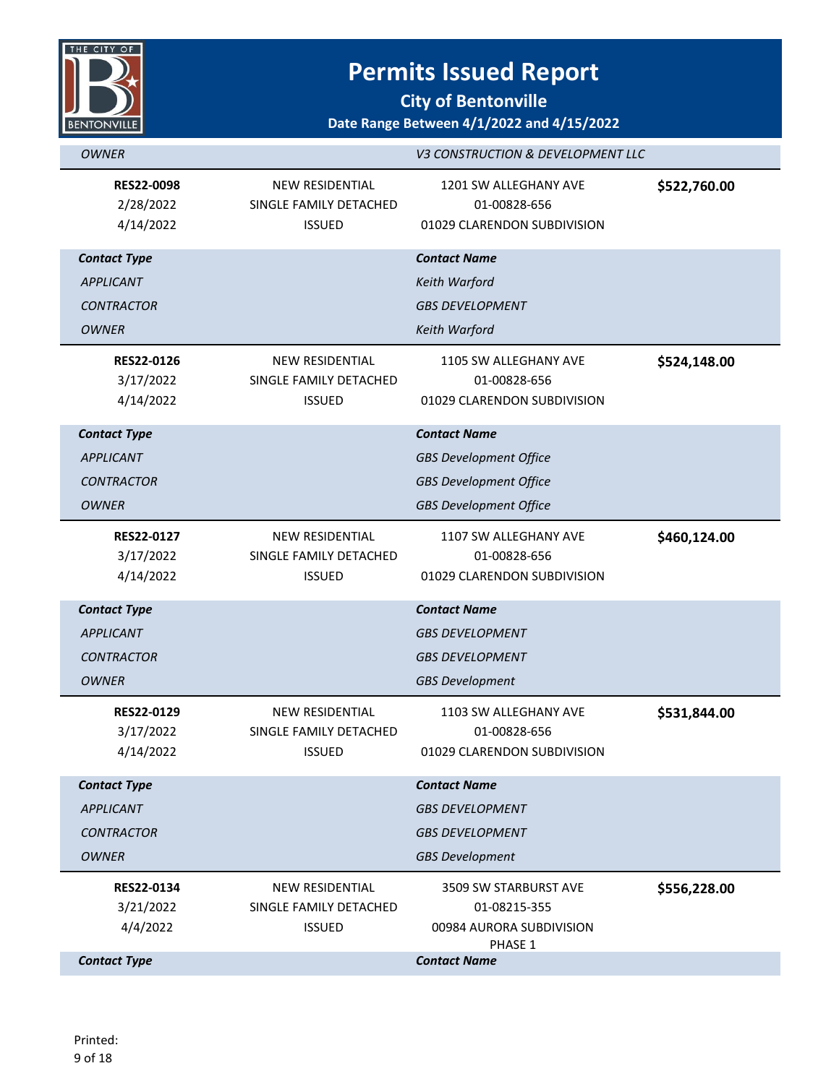

| <b>OWNER</b>                                |                                                                   | V3 CONSTRUCTION & DEVELOPMENT LLC                                    |              |
|---------------------------------------------|-------------------------------------------------------------------|----------------------------------------------------------------------|--------------|
| <b>RES22-0098</b><br>2/28/2022<br>4/14/2022 | <b>NEW RESIDENTIAL</b><br>SINGLE FAMILY DETACHED<br><b>ISSUED</b> | 1201 SW ALLEGHANY AVE<br>01-00828-656<br>01029 CLARENDON SUBDIVISION | \$522,760.00 |
| <b>Contact Type</b>                         |                                                                   | <b>Contact Name</b>                                                  |              |
| <b>APPLICANT</b>                            |                                                                   | Keith Warford                                                        |              |
| <b>CONTRACTOR</b>                           |                                                                   | <b>GBS DEVELOPMENT</b>                                               |              |
| <b>OWNER</b>                                |                                                                   | Keith Warford                                                        |              |
| <b>RES22-0126</b>                           | <b>NEW RESIDENTIAL</b>                                            | 1105 SW ALLEGHANY AVE                                                | \$524,148.00 |
| 3/17/2022                                   | SINGLE FAMILY DETACHED                                            | 01-00828-656                                                         |              |
| 4/14/2022                                   | <b>ISSUED</b>                                                     | 01029 CLARENDON SUBDIVISION                                          |              |
| <b>Contact Type</b>                         |                                                                   | <b>Contact Name</b>                                                  |              |
| <b>APPLICANT</b>                            |                                                                   | <b>GBS Development Office</b>                                        |              |
| <b>CONTRACTOR</b>                           |                                                                   | <b>GBS Development Office</b>                                        |              |
| <b>OWNER</b>                                |                                                                   | <b>GBS Development Office</b>                                        |              |
| RES22-0127                                  | NEW RESIDENTIAL                                                   | 1107 SW ALLEGHANY AVE                                                | \$460,124.00 |
| 3/17/2022                                   | SINGLE FAMILY DETACHED                                            | 01-00828-656                                                         |              |
| 4/14/2022                                   | <b>ISSUED</b>                                                     | 01029 CLARENDON SUBDIVISION                                          |              |
| <b>Contact Type</b>                         |                                                                   | <b>Contact Name</b>                                                  |              |
| <b>APPLICANT</b>                            |                                                                   | <b>GBS DEVELOPMENT</b>                                               |              |
| <b>CONTRACTOR</b>                           |                                                                   | <b>GBS DEVELOPMENT</b>                                               |              |
| <b>OWNER</b>                                |                                                                   | <b>GBS Development</b>                                               |              |
| RES22-0129                                  | <b>NEW RESIDENTIAL</b>                                            | 1103 SW ALLEGHANY AVE                                                | \$531,844.00 |
| 3/17/2022                                   | SINGLE FAMILY DETACHED                                            | 01-00828-656                                                         |              |
| 4/14/2022                                   | <b>ISSUED</b>                                                     | 01029 CLARENDON SUBDIVISION                                          |              |
| <b>Contact Type</b>                         |                                                                   | <b>Contact Name</b>                                                  |              |
| <b>APPLICANT</b>                            |                                                                   | <b>GBS DEVELOPMENT</b>                                               |              |
| <b>CONTRACTOR</b>                           |                                                                   | <b>GBS DEVELOPMENT</b>                                               |              |
| <b>OWNER</b>                                |                                                                   | <b>GBS Development</b>                                               |              |
| RES22-0134                                  | NEW RESIDENTIAL                                                   | 3509 SW STARBURST AVE                                                | \$556,228.00 |
| 3/21/2022                                   | SINGLE FAMILY DETACHED                                            | 01-08215-355                                                         |              |
| 4/4/2022                                    | <b>ISSUED</b>                                                     | 00984 AURORA SUBDIVISION<br>PHASE 1                                  |              |
| <b>Contact Type</b>                         |                                                                   | <b>Contact Name</b>                                                  |              |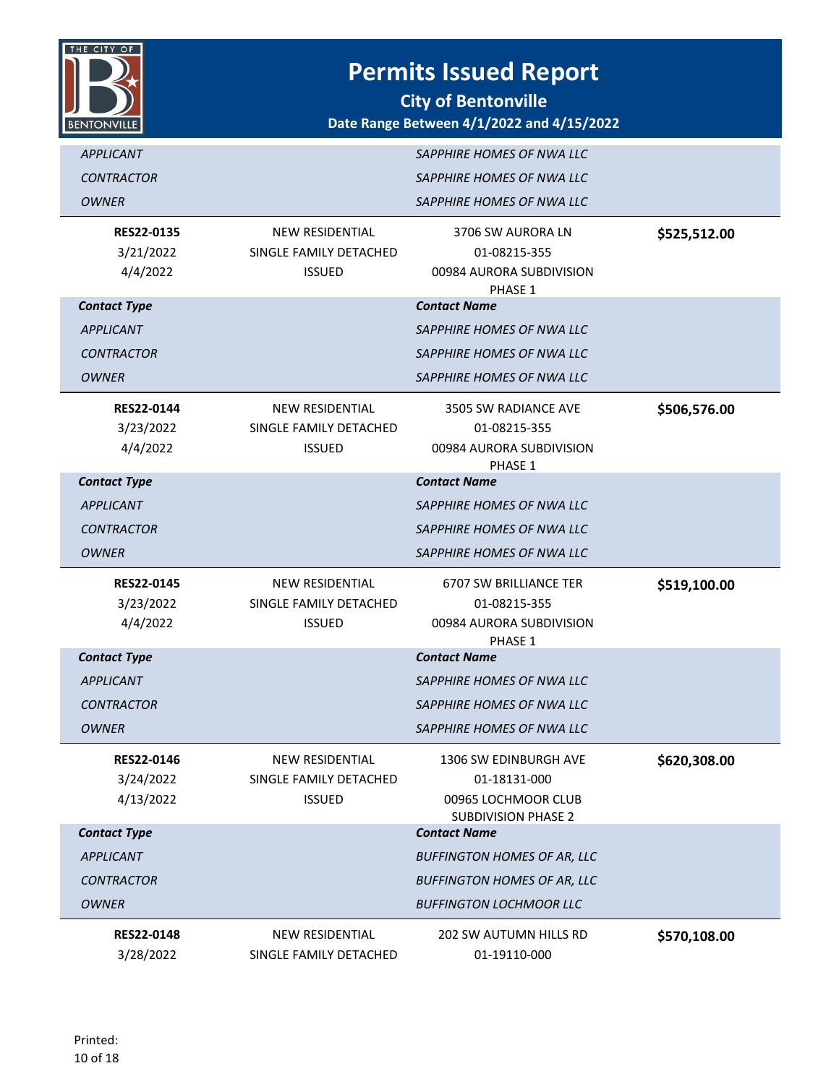

| <b>APPLICANT</b><br><b>CONTRACTOR</b><br><b>OWNER</b>                        |                                                                   | SAPPHIRE HOMES OF NWA LLC<br>SAPPHIRE HOMES OF NWA LLC<br>SAPPHIRE HOMES OF NWA LLC                                               |              |
|------------------------------------------------------------------------------|-------------------------------------------------------------------|-----------------------------------------------------------------------------------------------------------------------------------|--------------|
| <b>RES22-0135</b><br>3/21/2022<br>4/4/2022                                   | NEW RESIDENTIAL<br>SINGLE FAMILY DETACHED<br><b>ISSUED</b>        | 3706 SW AURORA LN<br>01-08215-355<br>00984 AURORA SUBDIVISION<br>PHASE 1                                                          | \$525,512.00 |
| <b>Contact Type</b><br><b>APPLICANT</b><br><b>CONTRACTOR</b><br><b>OWNER</b> |                                                                   | <b>Contact Name</b><br>SAPPHIRE HOMES OF NWA LLC<br>SAPPHIRE HOMES OF NWA LLC<br>SAPPHIRE HOMES OF NWA LLC                        |              |
| <b>RES22-0144</b><br>3/23/2022<br>4/4/2022                                   | <b>NEW RESIDENTIAL</b><br>SINGLE FAMILY DETACHED<br><b>ISSUED</b> | 3505 SW RADIANCE AVE<br>01-08215-355<br>00984 AURORA SUBDIVISION<br>PHASE 1                                                       | \$506,576.00 |
| <b>Contact Type</b><br><b>APPLICANT</b><br>CONTRACTOR<br>OWNER               |                                                                   | <b>Contact Name</b><br>SAPPHIRE HOMES OF NWA LLC<br>SAPPHIRE HOMES OF NWA LLC<br>SAPPHIRE HOMES OF NWA LLC                        |              |
| <b>RES22-0145</b><br>3/23/2022<br>4/4/2022                                   | <b>NEW RESIDENTIAL</b><br>SINGLE FAMILY DETACHED<br><b>ISSUED</b> | <b>6707 SW BRILLIANCE TER</b><br>01-08215-355<br>00984 AURORA SUBDIVISION<br>PHASE 1                                              | \$519,100.00 |
| <b>Contact Type</b><br><b>APPLICANT</b><br><b>CONTRACTOR</b><br>OWNER        |                                                                   | <b>Contact Name</b><br><i>SAPPHIRE HOMES OF NWA LLC</i><br>SAPPHIRE HOMES OF NWA LLC<br>SAPPHIRE HOMES OF NWA LLC                 |              |
| RES22-0146<br>3/24/2022<br>4/13/2022                                         | NEW RESIDENTIAL<br>SINGLE FAMILY DETACHED<br><b>ISSUED</b>        | 1306 SW EDINBURGH AVE<br>01-18131-000<br>00965 LOCHMOOR CLUB<br><b>SUBDIVISION PHASE 2</b>                                        | \$620,308.00 |
| <b>Contact Type</b><br><b>APPLICANT</b><br><b>CONTRACTOR</b><br><b>OWNER</b> |                                                                   | <b>Contact Name</b><br><b>BUFFINGTON HOMES OF AR, LLC</b><br><b>BUFFINGTON HOMES OF AR, LLC</b><br><b>BUFFINGTON LOCHMOOR LLC</b> |              |
| <b>RES22-0148</b><br>3/28/2022                                               | <b>NEW RESIDENTIAL</b><br>SINGLE FAMILY DETACHED                  | 202 SW AUTUMN HILLS RD<br>01-19110-000                                                                                            | \$570,108.00 |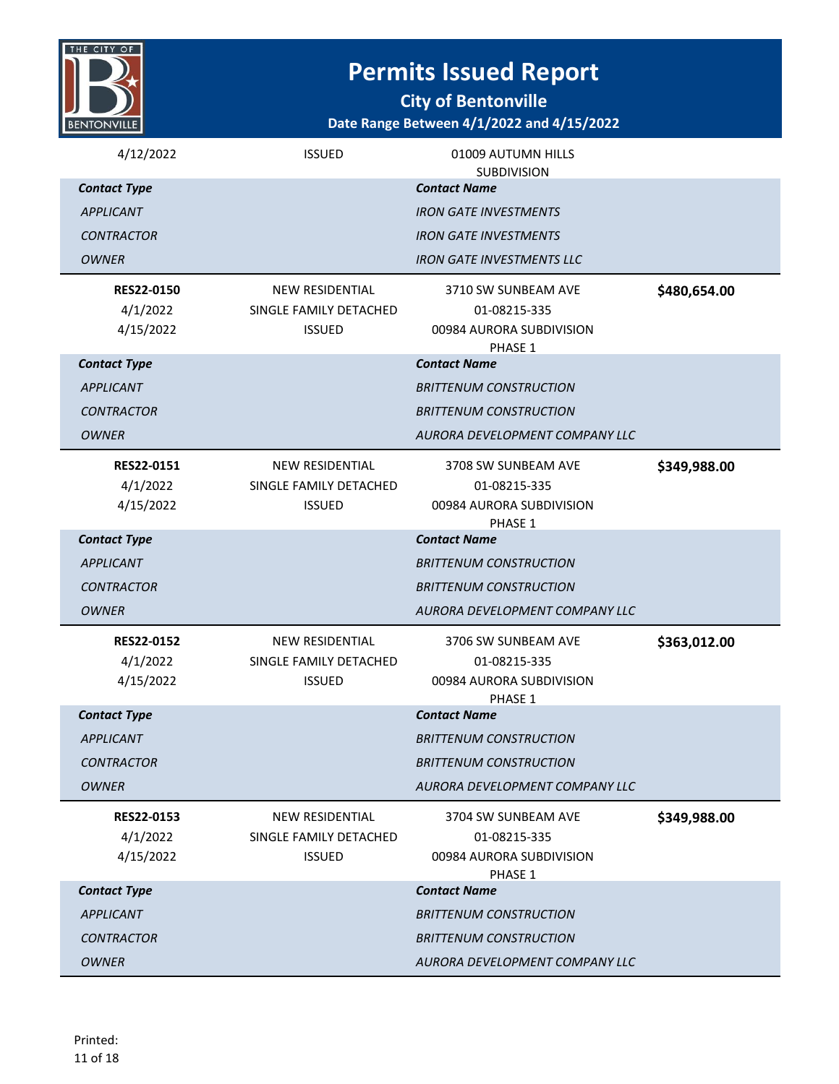

**City of Bentonville**

| 4/12/2022           | <b>ISSUED</b>          | 01009 AUTUMN HILLS<br><b>SUBDIVISION</b> |              |
|---------------------|------------------------|------------------------------------------|--------------|
| <b>Contact Type</b> |                        | <b>Contact Name</b>                      |              |
| <b>APPLICANT</b>    |                        | <b>IRON GATE INVESTMENTS</b>             |              |
| <b>CONTRACTOR</b>   |                        | <b>IRON GATE INVESTMENTS</b>             |              |
| <b>OWNER</b>        |                        | <b>IRON GATE INVESTMENTS LLC</b>         |              |
| <b>RES22-0150</b>   | <b>NEW RESIDENTIAL</b> | 3710 SW SUNBEAM AVE                      |              |
| 4/1/2022            | SINGLE FAMILY DETACHED | 01-08215-335                             | \$480,654.00 |
| 4/15/2022           | <b>ISSUED</b>          | 00984 AURORA SUBDIVISION                 |              |
|                     |                        | PHASE 1                                  |              |
| <b>Contact Type</b> |                        | <b>Contact Name</b>                      |              |
| <b>APPLICANT</b>    |                        | <b>BRITTENUM CONSTRUCTION</b>            |              |
| <b>CONTRACTOR</b>   |                        | <b>BRITTENUM CONSTRUCTION</b>            |              |
| <b>OWNER</b>        |                        | AURORA DEVELOPMENT COMPANY LLC           |              |
| RES22-0151          | <b>NEW RESIDENTIAL</b> | 3708 SW SUNBEAM AVE                      | \$349,988.00 |
| 4/1/2022            | SINGLE FAMILY DETACHED | 01-08215-335                             |              |
| 4/15/2022           | <b>ISSUED</b>          | 00984 AURORA SUBDIVISION                 |              |
| <b>Contact Type</b> |                        | PHASE 1<br><b>Contact Name</b>           |              |
| <b>APPLICANT</b>    |                        | <b>BRITTENUM CONSTRUCTION</b>            |              |
| <b>CONTRACTOR</b>   |                        | <b>BRITTENUM CONSTRUCTION</b>            |              |
| <b>OWNER</b>        |                        | AURORA DEVELOPMENT COMPANY LLC           |              |
|                     |                        |                                          |              |
| <b>RES22-0152</b>   | <b>NEW RESIDENTIAL</b> | 3706 SW SUNBEAM AVE                      | \$363,012.00 |
| 4/1/2022            | SINGLE FAMILY DETACHED | 01-08215-335                             |              |
| 4/15/2022           | <b>ISSUED</b>          | 00984 AURORA SUBDIVISION<br>PHASE 1      |              |
| <b>Contact Type</b> |                        | <b>Contact Name</b>                      |              |
| <b>APPLICANT</b>    |                        | <b>BRITTENUM CONSTRUCTION</b>            |              |
| <i>CONTRACTOR</i>   |                        | <i>BRITTENUM CONSTRUCTION</i>            |              |
| <b>OWNER</b>        |                        | AURORA DEVELOPMENT COMPANY LLC           |              |
| RES22-0153          | <b>NEW RESIDENTIAL</b> | 3704 SW SUNBEAM AVE                      | \$349,988.00 |
| 4/1/2022            | SINGLE FAMILY DETACHED | 01-08215-335                             |              |
| 4/15/2022           | <b>ISSUED</b>          | 00984 AURORA SUBDIVISION                 |              |
| <b>Contact Type</b> |                        | PHASE 1<br><b>Contact Name</b>           |              |
|                     |                        |                                          |              |
| <b>APPLICANT</b>    |                        | <b>BRITTENUM CONSTRUCTION</b>            |              |
| <b>CONTRACTOR</b>   |                        | <b>BRITTENUM CONSTRUCTION</b>            |              |
| <b>OWNER</b>        |                        | AURORA DEVELOPMENT COMPANY LLC           |              |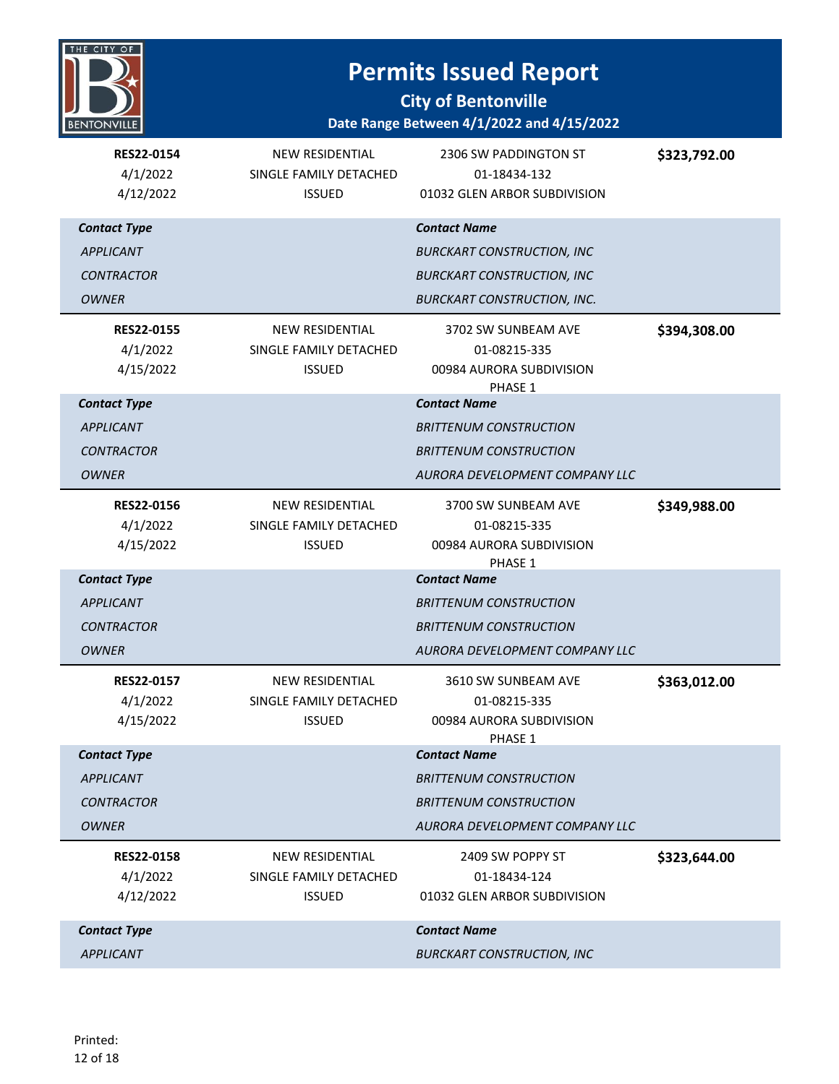

| <b>RES22-0154</b><br>4/1/2022<br>4/12/2022                                   | <b>NEW RESIDENTIAL</b><br>SINGLE FAMILY DETACHED<br><b>ISSUED</b> | 2306 SW PADDINGTON ST<br>01-18434-132<br>01032 GLEN ARBOR SUBDIVISION                                                               | \$323,792.00 |
|------------------------------------------------------------------------------|-------------------------------------------------------------------|-------------------------------------------------------------------------------------------------------------------------------------|--------------|
| <b>Contact Type</b><br><b>APPLICANT</b><br><b>CONTRACTOR</b><br><b>OWNER</b> |                                                                   | <b>Contact Name</b><br><b>BURCKART CONSTRUCTION, INC</b><br><b>BURCKART CONSTRUCTION, INC</b><br><b>BURCKART CONSTRUCTION, INC.</b> |              |
| <b>RES22-0155</b><br>4/1/2022<br>4/15/2022                                   | NEW RESIDENTIAL<br>SINGLE FAMILY DETACHED<br><b>ISSUED</b>        | 3702 SW SUNBEAM AVE<br>01-08215-335<br>00984 AURORA SUBDIVISION<br>PHASE 1                                                          | \$394,308.00 |
| <b>Contact Type</b><br><b>APPLICANT</b><br><b>CONTRACTOR</b><br>OWNER        |                                                                   | <b>Contact Name</b><br><b>BRITTENUM CONSTRUCTION</b><br><b>BRITTENUM CONSTRUCTION</b><br>AURORA DEVELOPMENT COMPANY LLC             |              |
| <b>RES22-0156</b><br>4/1/2022<br>4/15/2022                                   | <b>NEW RESIDENTIAL</b><br>SINGLE FAMILY DETACHED<br><b>ISSUED</b> | 3700 SW SUNBEAM AVE<br>01-08215-335<br>00984 AURORA SUBDIVISION<br>PHASE 1                                                          | \$349,988.00 |
| <b>Contact Type</b><br><b>APPLICANT</b><br><b>CONTRACTOR</b><br>OWNER        |                                                                   | <b>Contact Name</b><br><i>BRITTENUM CONSTRUCTION</i><br><b>BRITTENUM CONSTRUCTION</b><br>AURORA DEVELOPMENT COMPANY LLC             |              |
| <b>RES22-0157</b><br>4/1/2022<br>4/15/2022                                   | <b>NEW RESIDENTIAL</b><br>SINGLE FAMILY DETACHED<br><b>ISSUED</b> | 3610 SW SUNBEAM AVE<br>01-08215-335<br>00984 AURORA SUBDIVISION<br>PHASE 1                                                          | \$363,012.00 |
| <b>Contact Type</b><br><b>APPLICANT</b><br><b>CONTRACTOR</b><br><b>OWNER</b> |                                                                   | <b>Contact Name</b><br><b>BRITTENUM CONSTRUCTION</b><br><b>BRITTENUM CONSTRUCTION</b><br>AURORA DEVELOPMENT COMPANY LLC             |              |
| <b>RES22-0158</b><br>4/1/2022<br>4/12/2022                                   | <b>NEW RESIDENTIAL</b><br>SINGLE FAMILY DETACHED<br><b>ISSUED</b> | 2409 SW POPPY ST<br>01-18434-124<br>01032 GLEN ARBOR SUBDIVISION                                                                    | \$323,644.00 |
| <b>Contact Type</b><br><b>APPLICANT</b>                                      |                                                                   | <b>Contact Name</b><br><b>BURCKART CONSTRUCTION, INC</b>                                                                            |              |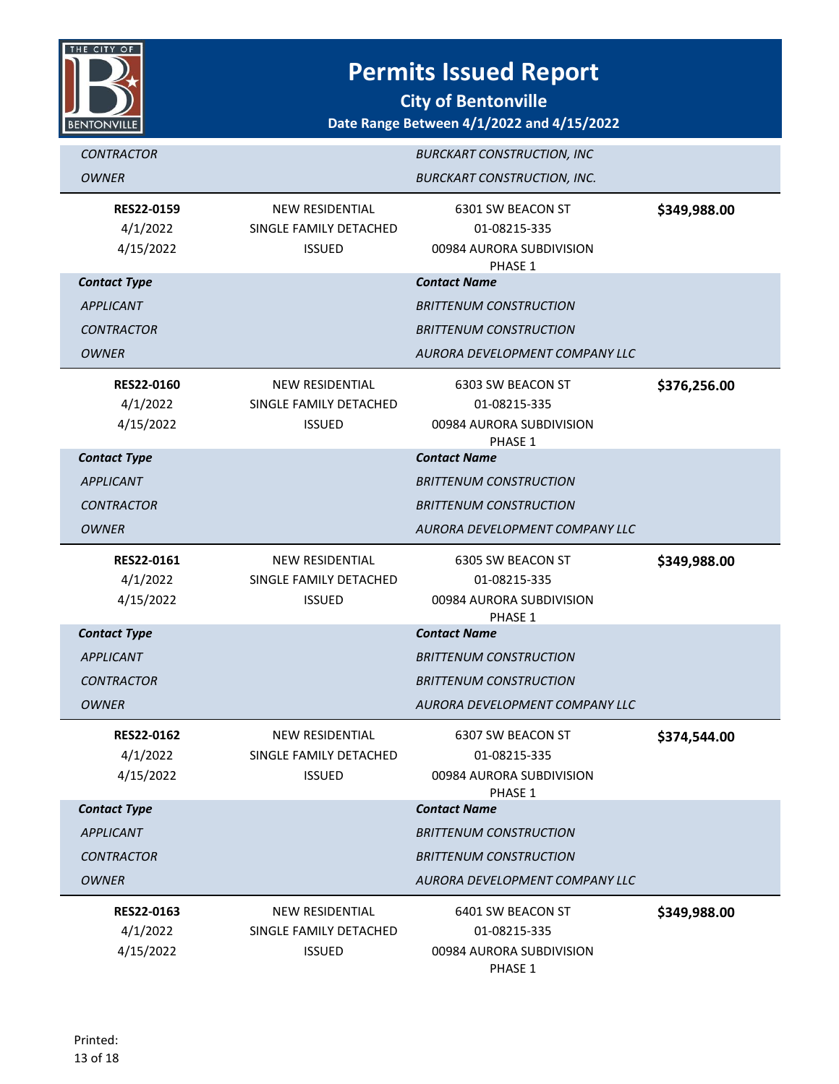

| <b>CONTRACTOR</b>                          |                                                                   | <b>BURCKART CONSTRUCTION, INC</b>                                        |              |
|--------------------------------------------|-------------------------------------------------------------------|--------------------------------------------------------------------------|--------------|
| <b>OWNER</b>                               |                                                                   | <b>BURCKART CONSTRUCTION, INC.</b>                                       |              |
| <b>RES22-0159</b><br>4/1/2022<br>4/15/2022 | NEW RESIDENTIAL<br>SINGLE FAMILY DETACHED<br><b>ISSUED</b>        | 6301 SW BEACON ST<br>01-08215-335<br>00984 AURORA SUBDIVISION<br>PHASE 1 | \$349,988.00 |
| <b>Contact Type</b>                        |                                                                   | <b>Contact Name</b>                                                      |              |
| <b>APPLICANT</b>                           |                                                                   | <b>BRITTENUM CONSTRUCTION</b>                                            |              |
| <b>CONTRACTOR</b>                          |                                                                   | <b>BRITTENUM CONSTRUCTION</b>                                            |              |
| <b>OWNER</b>                               |                                                                   | AURORA DEVELOPMENT COMPANY LLC                                           |              |
| <b>RES22-0160</b><br>4/1/2022<br>4/15/2022 | NEW RESIDENTIAL<br>SINGLE FAMILY DETACHED<br><b>ISSUED</b>        | 6303 SW BEACON ST<br>01-08215-335<br>00984 AURORA SUBDIVISION<br>PHASE 1 | \$376,256.00 |
| <b>Contact Type</b>                        |                                                                   | <b>Contact Name</b>                                                      |              |
| <b>APPLICANT</b>                           |                                                                   | <b>BRITTENUM CONSTRUCTION</b>                                            |              |
| <b>CONTRACTOR</b>                          |                                                                   | <b>BRITTENUM CONSTRUCTION</b>                                            |              |
| <b>OWNER</b>                               |                                                                   | AURORA DEVELOPMENT COMPANY LLC                                           |              |
| RES22-0161<br>4/1/2022<br>4/15/2022        | NEW RESIDENTIAL<br>SINGLE FAMILY DETACHED<br><b>ISSUED</b>        | 6305 SW BEACON ST<br>01-08215-335<br>00984 AURORA SUBDIVISION<br>PHASE 1 | \$349,988.00 |
| <b>Contact Type</b>                        |                                                                   | <b>Contact Name</b>                                                      |              |
| <b>APPLICANT</b>                           |                                                                   | <b>BRITTENUM CONSTRUCTION</b>                                            |              |
| <b>CONTRACTOR</b>                          |                                                                   | <b>BRITTENUM CONSTRUCTION</b>                                            |              |
| <b>OWNER</b>                               |                                                                   | AURORA DEVELOPMENT COMPANY LLC                                           |              |
| <b>RES22-0162</b><br>4/1/2022<br>4/15/2022 | <b>NEW RESIDENTIAL</b><br>SINGLE FAMILY DETACHED<br><b>ISSUED</b> | 6307 SW BEACON ST<br>01-08215-335<br>00984 AURORA SUBDIVISION<br>PHASE 1 | \$374,544.00 |
| <b>Contact Type</b>                        |                                                                   | <b>Contact Name</b>                                                      |              |
| <b>APPLICANT</b>                           |                                                                   | <b>BRITTENUM CONSTRUCTION</b>                                            |              |
| <b>CONTRACTOR</b>                          |                                                                   | <b>BRITTENUM CONSTRUCTION</b>                                            |              |
| <b>OWNER</b>                               |                                                                   | AURORA DEVELOPMENT COMPANY LLC                                           |              |
| RES22-0163<br>4/1/2022<br>4/15/2022        | NEW RESIDENTIAL<br>SINGLE FAMILY DETACHED<br><b>ISSUED</b>        | 6401 SW BEACON ST<br>01-08215-335<br>00984 AURORA SUBDIVISION<br>PHASE 1 | \$349,988.00 |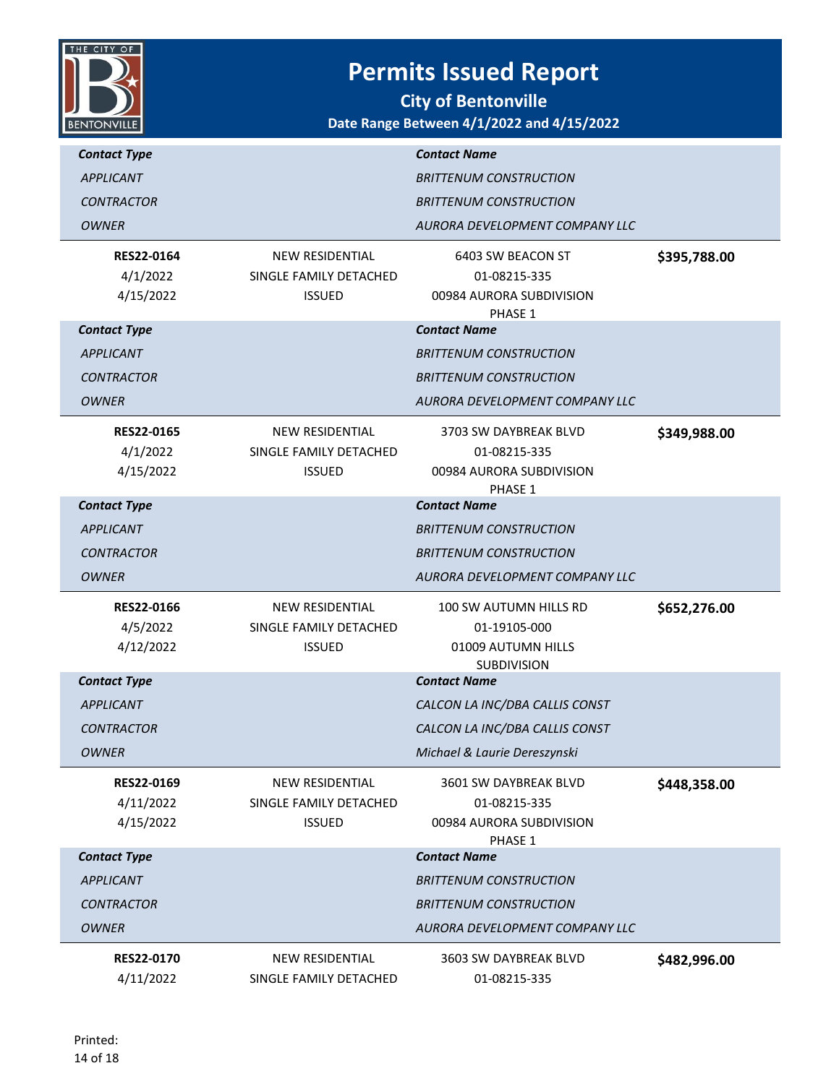

| <b>Contact Type</b>            |                                           | <b>Contact Name</b>                       |              |
|--------------------------------|-------------------------------------------|-------------------------------------------|--------------|
| <b>APPLICANT</b>               |                                           | <b>BRITTENUM CONSTRUCTION</b>             |              |
| <b>CONTRACTOR</b>              |                                           | <b>BRITTENUM CONSTRUCTION</b>             |              |
| <b>OWNER</b>                   |                                           | AURORA DEVELOPMENT COMPANY LLC            |              |
| RES22-0164                     | <b>NEW RESIDENTIAL</b>                    | 6403 SW BEACON ST                         | \$395,788.00 |
| 4/1/2022                       | SINGLE FAMILY DETACHED                    | 01-08215-335                              |              |
| 4/15/2022                      | <b>ISSUED</b>                             | 00984 AURORA SUBDIVISION<br>PHASE 1       |              |
| <b>Contact Type</b>            |                                           | <b>Contact Name</b>                       |              |
| <b>APPLICANT</b>               |                                           | <b>BRITTENUM CONSTRUCTION</b>             |              |
| <b>CONTRACTOR</b>              |                                           | <b>BRITTENUM CONSTRUCTION</b>             |              |
| <b>OWNER</b>                   |                                           | AURORA DEVELOPMENT COMPANY LLC            |              |
| <b>RES22-0165</b>              | <b>NEW RESIDENTIAL</b>                    | 3703 SW DAYBREAK BLVD                     | \$349,988.00 |
| 4/1/2022                       | SINGLE FAMILY DETACHED                    | 01-08215-335                              |              |
| 4/15/2022                      | <b>ISSUED</b>                             | 00984 AURORA SUBDIVISION<br>PHASE 1       |              |
| <b>Contact Type</b>            |                                           | <b>Contact Name</b>                       |              |
| <b>APPLICANT</b>               |                                           | <b>BRITTENUM CONSTRUCTION</b>             |              |
| <b>CONTRACTOR</b>              |                                           | <b>BRITTENUM CONSTRUCTION</b>             |              |
| <b>OWNER</b>                   |                                           | AURORA DEVELOPMENT COMPANY LLC            |              |
| <b>RES22-0166</b>              | <b>NEW RESIDENTIAL</b>                    | 100 SW AUTUMN HILLS RD                    | \$652,276.00 |
| 4/5/2022                       | SINGLE FAMILY DETACHED                    | 01-19105-000                              |              |
| 4/12/2022                      | <b>ISSUED</b>                             | 01009 AUTUMN HILLS                        |              |
|                                |                                           |                                           |              |
| <b>Contact Type</b>            |                                           | <b>SUBDIVISION</b><br><b>Contact Name</b> |              |
| <b>APPLICANT</b>               |                                           | CALCON LA INC/DBA CALLIS CONST            |              |
| <b>CONTRACTOR</b>              |                                           | CALCON LA INC/DBA CALLIS CONST            |              |
| <b>OWNER</b>                   |                                           | Michael & Laurie Dereszynski              |              |
| RES22-0169                     | <b>NEW RESIDENTIAL</b>                    | 3601 SW DAYBREAK BLVD                     | \$448,358.00 |
| 4/11/2022                      | SINGLE FAMILY DETACHED                    | 01-08215-335                              |              |
| 4/15/2022                      | <b>ISSUED</b>                             | 00984 AURORA SUBDIVISION<br>PHASE 1       |              |
| <b>Contact Type</b>            |                                           | <b>Contact Name</b>                       |              |
| <b>APPLICANT</b>               |                                           | <b>BRITTENUM CONSTRUCTION</b>             |              |
| <b>CONTRACTOR</b>              |                                           | <b>BRITTENUM CONSTRUCTION</b>             |              |
| <b>OWNER</b>                   |                                           | AURORA DEVELOPMENT COMPANY LLC            |              |
| <b>RES22-0170</b><br>4/11/2022 | NEW RESIDENTIAL<br>SINGLE FAMILY DETACHED | 3603 SW DAYBREAK BLVD<br>01-08215-335     | \$482,996.00 |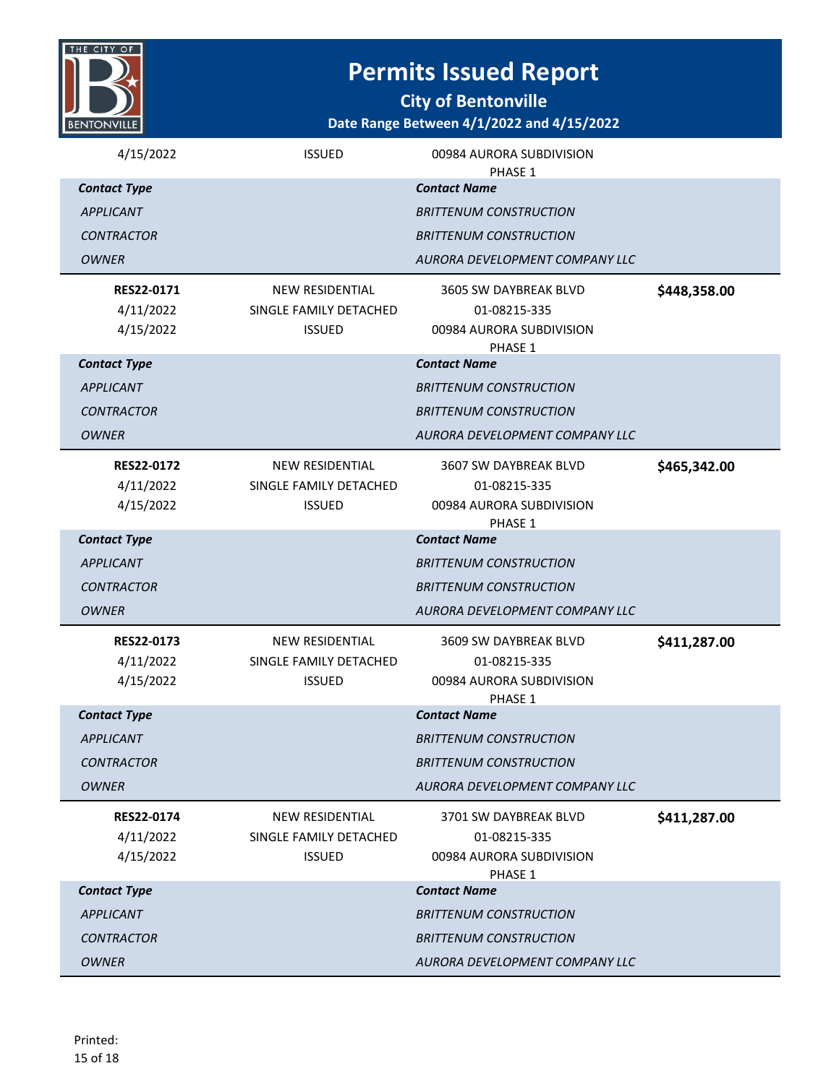

**City of Bentonville**

| 4/15/2022                                   | <b>ISSUED</b>                                                     | 00984 AURORA SUBDIVISION<br>PHASE 1                                          |              |
|---------------------------------------------|-------------------------------------------------------------------|------------------------------------------------------------------------------|--------------|
| <b>Contact Type</b>                         |                                                                   | <b>Contact Name</b>                                                          |              |
| <b>APPLICANT</b>                            |                                                                   | <b>BRITTENUM CONSTRUCTION</b>                                                |              |
| <b>CONTRACTOR</b>                           |                                                                   | <b>BRITTENUM CONSTRUCTION</b>                                                |              |
| <b>OWNER</b>                                |                                                                   | AURORA DEVELOPMENT COMPANY LLC                                               |              |
| RES22-0171<br>4/11/2022<br>4/15/2022        | <b>NEW RESIDENTIAL</b><br>SINGLE FAMILY DETACHED<br><b>ISSUED</b> | 3605 SW DAYBREAK BLVD<br>01-08215-335<br>00984 AURORA SUBDIVISION<br>PHASE 1 | \$448,358.00 |
| <b>Contact Type</b>                         |                                                                   | <b>Contact Name</b>                                                          |              |
| <b>APPLICANT</b>                            |                                                                   | <b>BRITTENUM CONSTRUCTION</b>                                                |              |
| <b>CONTRACTOR</b>                           |                                                                   | <b>BRITTENUM CONSTRUCTION</b>                                                |              |
| <b>OWNER</b>                                |                                                                   | AURORA DEVELOPMENT COMPANY LLC                                               |              |
| <b>RES22-0172</b><br>4/11/2022<br>4/15/2022 | <b>NEW RESIDENTIAL</b><br>SINGLE FAMILY DETACHED<br><b>ISSUED</b> | 3607 SW DAYBREAK BLVD<br>01-08215-335<br>00984 AURORA SUBDIVISION<br>PHASE 1 | \$465,342.00 |
| <b>Contact Type</b>                         |                                                                   | <b>Contact Name</b>                                                          |              |
| <b>APPLICANT</b>                            |                                                                   | <b>BRITTENUM CONSTRUCTION</b>                                                |              |
| <b>CONTRACTOR</b>                           |                                                                   | <b>BRITTENUM CONSTRUCTION</b>                                                |              |
| <b>OWNER</b>                                |                                                                   | AURORA DEVELOPMENT COMPANY LLC                                               |              |
| RES22-0173<br>4/11/2022<br>4/15/2022        | <b>NEW RESIDENTIAL</b><br>SINGLE FAMILY DETACHED                  | 3609 SW DAYBREAK BLVD<br>01-08215-335                                        | \$411,287.00 |
|                                             | <b>ISSUED</b>                                                     | 00984 AURORA SUBDIVISION                                                     |              |
| <b>Contact Type</b>                         |                                                                   | PHASE 1<br><b>Contact Name</b>                                               |              |
| <b>APPLICANT</b>                            |                                                                   | <b>BRITTENUM CONSTRUCTION</b>                                                |              |
| <b>CONTRACTOR</b>                           |                                                                   | <b>BRITTENUM CONSTRUCTION</b>                                                |              |
| <b>OWNER</b>                                |                                                                   | AURORA DEVELOPMENT COMPANY LLC                                               |              |
| <b>RES22-0174</b><br>4/11/2022<br>4/15/2022 | <b>NEW RESIDENTIAL</b><br>SINGLE FAMILY DETACHED<br><b>ISSUED</b> | 3701 SW DAYBREAK BLVD<br>01-08215-335<br>00984 AURORA SUBDIVISION<br>PHASE 1 | \$411,287.00 |
| <b>Contact Type</b>                         |                                                                   | <b>Contact Name</b>                                                          |              |
| <b>APPLICANT</b>                            |                                                                   | <b>BRITTENUM CONSTRUCTION</b>                                                |              |
| <b>CONTRACTOR</b>                           |                                                                   | <b>BRITTENUM CONSTRUCTION</b>                                                |              |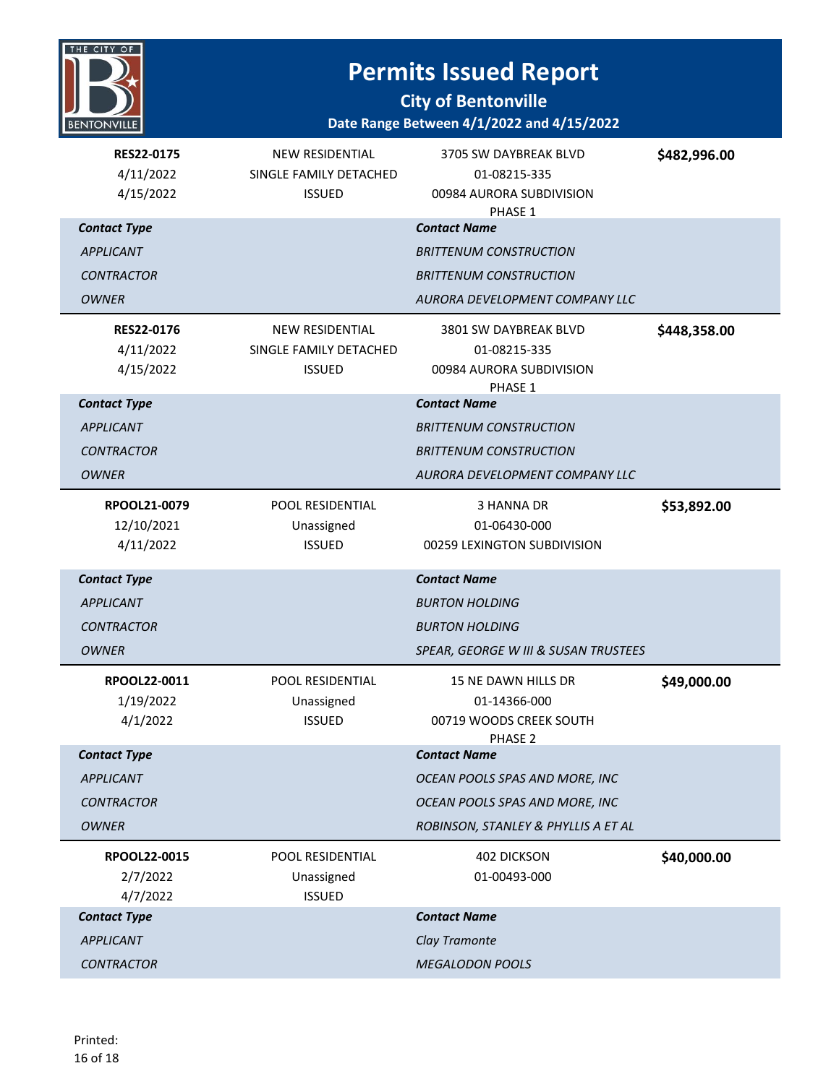

| <b>RES22-0175</b><br>4/11/2022<br>4/15/2022 | <b>NEW RESIDENTIAL</b><br>SINGLE FAMILY DETACHED<br><b>ISSUED</b> | 3705 SW DAYBREAK BLVD<br>01-08215-335<br>00984 AURORA SUBDIVISION<br>PHASE 1 | \$482,996.00 |
|---------------------------------------------|-------------------------------------------------------------------|------------------------------------------------------------------------------|--------------|
| <b>Contact Type</b>                         |                                                                   | <b>Contact Name</b>                                                          |              |
| <b>APPLICANT</b>                            |                                                                   | <b>BRITTENUM CONSTRUCTION</b>                                                |              |
| <b>CONTRACTOR</b>                           |                                                                   | <b>BRITTENUM CONSTRUCTION</b>                                                |              |
| <b>OWNER</b>                                |                                                                   | AURORA DEVELOPMENT COMPANY LLC                                               |              |
| <b>RES22-0176</b>                           | <b>NEW RESIDENTIAL</b>                                            | 3801 SW DAYBREAK BLVD                                                        | \$448,358.00 |
| 4/11/2022                                   | SINGLE FAMILY DETACHED                                            | 01-08215-335                                                                 |              |
| 4/15/2022                                   | <b>ISSUED</b>                                                     | 00984 AURORA SUBDIVISION<br>PHASE 1                                          |              |
| <b>Contact Type</b>                         |                                                                   | <b>Contact Name</b>                                                          |              |
| <b>APPLICANT</b>                            |                                                                   | <b>BRITTENUM CONSTRUCTION</b>                                                |              |
| <b>CONTRACTOR</b>                           |                                                                   | <b>BRITTENUM CONSTRUCTION</b>                                                |              |
| <b>OWNER</b>                                |                                                                   | AURORA DEVELOPMENT COMPANY LLC                                               |              |
| RPOOL21-0079                                | <b>POOL RESIDENTIAL</b>                                           | 3 HANNA DR                                                                   | \$53,892.00  |
| 12/10/2021                                  | Unassigned                                                        | 01-06430-000                                                                 |              |
| 4/11/2022                                   | <b>ISSUED</b>                                                     | 00259 LEXINGTON SUBDIVISION                                                  |              |
| <b>Contact Type</b>                         |                                                                   | <b>Contact Name</b>                                                          |              |
| <b>APPLICANT</b>                            |                                                                   | <b>BURTON HOLDING</b>                                                        |              |
| <b>CONTRACTOR</b>                           |                                                                   | <b>BURTON HOLDING</b>                                                        |              |
| <b>OWNER</b>                                |                                                                   | SPEAR, GEORGE W III & SUSAN TRUSTEES                                         |              |
| RPOOL22-0011                                | POOL RESIDENTIAL                                                  | 15 NE DAWN HILLS DR                                                          | \$49,000.00  |
| 1/19/2022                                   | Unassigned                                                        | 01-14366-000                                                                 |              |
| 4/1/2022                                    | <b>ISSUED</b>                                                     | 00719 WOODS CREEK SOUTH<br>PHASE 2                                           |              |
| <b>Contact Type</b>                         |                                                                   | <b>Contact Name</b>                                                          |              |
| <b>APPLICANT</b>                            |                                                                   | OCEAN POOLS SPAS AND MORE, INC                                               |              |
| <b>CONTRACTOR</b>                           |                                                                   | OCEAN POOLS SPAS AND MORE, INC                                               |              |
| <b>OWNER</b>                                |                                                                   | ROBINSON, STANLEY & PHYLLIS A ET AL                                          |              |
| RPOOL22-0015                                | POOL RESIDENTIAL                                                  | 402 DICKSON                                                                  | \$40,000.00  |
| 2/7/2022                                    | Unassigned                                                        | 01-00493-000                                                                 |              |
| 4/7/2022                                    | <b>ISSUED</b>                                                     |                                                                              |              |
|                                             |                                                                   |                                                                              |              |
| <b>Contact Type</b>                         |                                                                   | <b>Contact Name</b>                                                          |              |
| <b>APPLICANT</b>                            |                                                                   | Clay Tramonte                                                                |              |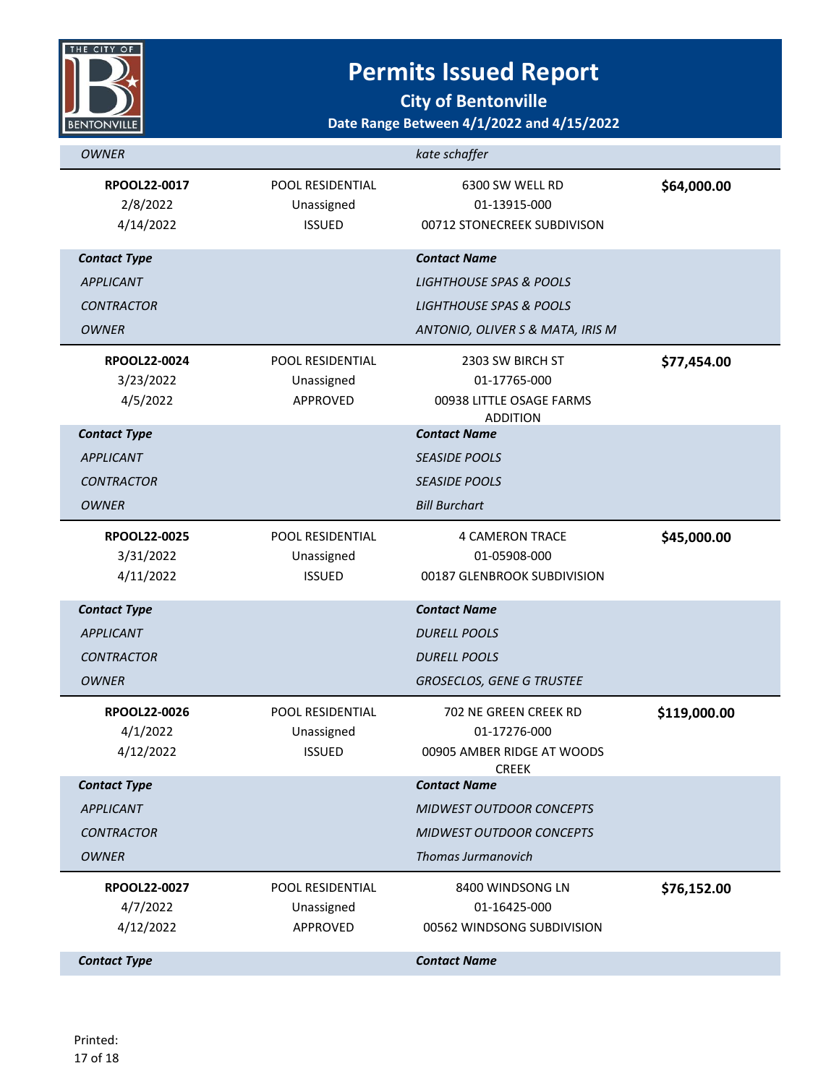

**City of Bentonville**

| <b>OWNER</b>                           |                                                   | kate schaffer                                                                       |              |
|----------------------------------------|---------------------------------------------------|-------------------------------------------------------------------------------------|--------------|
| RPOOL22-0017<br>2/8/2022<br>4/14/2022  | POOL RESIDENTIAL<br>Unassigned<br><b>ISSUED</b>   | 6300 SW WELL RD<br>01-13915-000<br>00712 STONECREEK SUBDIVISON                      | \$64,000.00  |
| <b>Contact Type</b>                    |                                                   | <b>Contact Name</b>                                                                 |              |
| <b>APPLICANT</b>                       |                                                   | <b>LIGHTHOUSE SPAS &amp; POOLS</b>                                                  |              |
| <b>CONTRACTOR</b>                      |                                                   | <b>LIGHTHOUSE SPAS &amp; POOLS</b>                                                  |              |
| <b>OWNER</b>                           |                                                   | ANTONIO, OLIVER S & MATA, IRIS M                                                    |              |
| RPOOL22-0024                           | POOL RESIDENTIAL                                  | 2303 SW BIRCH ST                                                                    | \$77,454.00  |
| 3/23/2022                              | Unassigned                                        | 01-17765-000                                                                        |              |
| 4/5/2022                               | APPROVED                                          | 00938 LITTLE OSAGE FARMS<br><b>ADDITION</b>                                         |              |
| <b>Contact Type</b>                    |                                                   | <b>Contact Name</b>                                                                 |              |
| <b>APPLICANT</b>                       |                                                   | <b>SEASIDE POOLS</b>                                                                |              |
| <b>CONTRACTOR</b>                      |                                                   | <b>SEASIDE POOLS</b>                                                                |              |
| <b>OWNER</b>                           |                                                   | <b>Bill Burchart</b>                                                                |              |
| RPOOL22-0025<br>3/31/2022<br>4/11/2022 | POOL RESIDENTIAL<br>Unassigned<br><b>ISSUED</b>   | <b>4 CAMERON TRACE</b><br>01-05908-000<br>00187 GLENBROOK SUBDIVISION               | \$45,000.00  |
| <b>Contact Type</b>                    |                                                   | <b>Contact Name</b>                                                                 |              |
| <b>APPLICANT</b>                       |                                                   | <b>DURELL POOLS</b>                                                                 |              |
| <b>CONTRACTOR</b>                      |                                                   | <b>DURELL POOLS</b>                                                                 |              |
| <b>OWNER</b>                           |                                                   | <b>GROSECLOS, GENE G TRUSTEE</b>                                                    |              |
| RPOOL22-0026<br>4/1/2022<br>4/12/2022  | POOL RESIDENTIAL<br>Unassigned<br><b>ISSUED</b>   | 702 NE GREEN CREEK RD<br>01-17276-000<br>00905 AMBER RIDGE AT WOODS<br><b>CREEK</b> | \$119,000.00 |
| <b>Contact Type</b>                    |                                                   | <b>Contact Name</b>                                                                 |              |
| <b>APPLICANT</b>                       |                                                   | <b>MIDWEST OUTDOOR CONCEPTS</b>                                                     |              |
| <b>CONTRACTOR</b>                      |                                                   | MIDWEST OUTDOOR CONCEPTS                                                            |              |
| <b>OWNER</b>                           |                                                   | <b>Thomas Jurmanovich</b>                                                           |              |
| RPOOL22-0027<br>4/7/2022<br>4/12/2022  | <b>POOL RESIDENTIAL</b><br>Unassigned<br>APPROVED | 8400 WINDSONG LN<br>01-16425-000<br>00562 WINDSONG SUBDIVISION                      | \$76,152.00  |
| <b>Contact Type</b>                    |                                                   | <b>Contact Name</b>                                                                 |              |